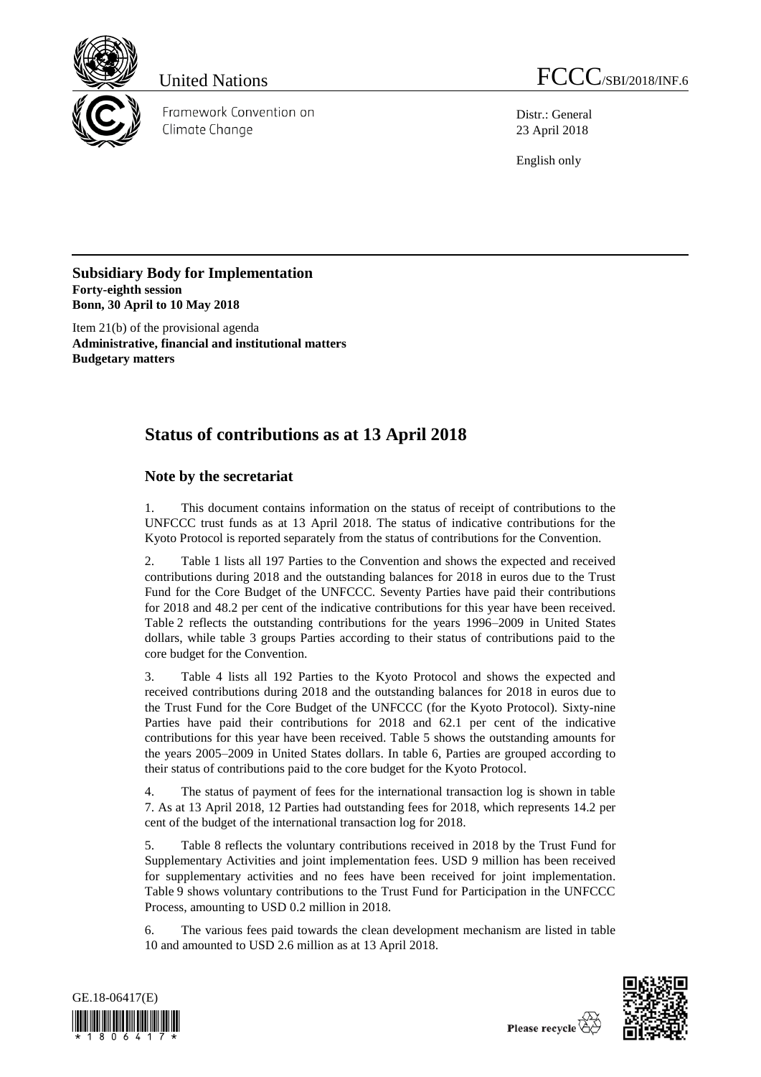

Framework Convention on Climate Change

Distr.: General 23 April 2018

English only

**Subsidiary Body for Implementation Forty-eighth session Bonn, 30 April to 10 May 2018**

Item 21(b) of the provisional agenda **Administrative, financial and institutional matters Budgetary matters**

# **Status of contributions as at 13 April 2018**

# **Note by the secretariat**

1. This document contains information on the status of receipt of contributions to the UNFCCC trust funds as at 13 April 2018. The status of indicative contributions for the Kyoto Protocol is reported separately from the status of contributions for the Convention.

2. Table 1 lists all 197 Parties to the Convention and shows the expected and received contributions during 2018 and the outstanding balances for 2018 in euros due to the Trust Fund for the Core Budget of the UNFCCC. Seventy Parties have paid their contributions for 2018 and 48.2 per cent of the indicative contributions for this year have been received. Table 2 reflects the outstanding contributions for the years 1996–2009 in United States dollars, while table 3 groups Parties according to their status of contributions paid to the core budget for the Convention.

3. Table 4 lists all 192 Parties to the Kyoto Protocol and shows the expected and received contributions during 2018 and the outstanding balances for 2018 in euros due to the Trust Fund for the Core Budget of the UNFCCC (for the Kyoto Protocol). Sixty-nine Parties have paid their contributions for 2018 and 62.1 per cent of the indicative contributions for this year have been received. Table 5 shows the outstanding amounts for the years 2005–2009 in United States dollars. In table 6, Parties are grouped according to their status of contributions paid to the core budget for the Kyoto Protocol.

4. The status of payment of fees for the international transaction log is shown in table 7. As at 13 April 2018, 12 Parties had outstanding fees for 2018, which represents 14.2 per cent of the budget of the international transaction log for 2018.

5. Table 8 reflects the voluntary contributions received in 2018 by the Trust Fund for Supplementary Activities and joint implementation fees. USD 9 million has been received for supplementary activities and no fees have been received for joint implementation. Table 9 shows voluntary contributions to the Trust Fund for Participation in the UNFCCC Process, amounting to USD 0.2 million in 2018.

6. The various fees paid towards the clean development mechanism are listed in table 10 and amounted to USD 2.6 million as at 13 April 2018.



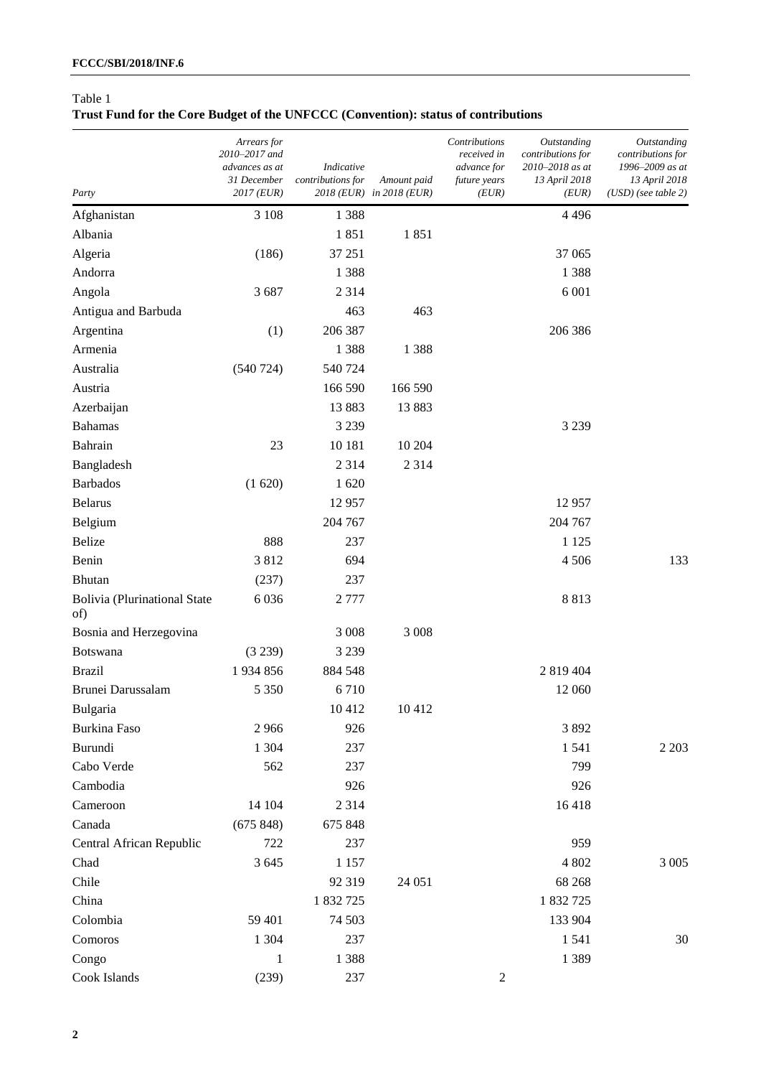# **Trust Fund for the Core Budget of the UNFCCC (Convention): status of contributions**

| Party                                      | Arrears for<br>2010-2017 and<br>advances as at<br>31 December<br>$2017$ (EUR) | Indicative<br>contributions for | Amount paid<br>2018 (EUR) in 2018 (EUR) | Contributions<br>received in<br>advance for<br>future years<br>(EUR) | Outstanding<br>contributions for<br>2010-2018 as at<br>13 April 2018<br>(EUR) | <b>Outstanding</b><br>contributions for<br>1996-2009 as at<br>13 April 2018<br>$(USD)$ (see table 2) |
|--------------------------------------------|-------------------------------------------------------------------------------|---------------------------------|-----------------------------------------|----------------------------------------------------------------------|-------------------------------------------------------------------------------|------------------------------------------------------------------------------------------------------|
| Afghanistan                                | 3 1 0 8                                                                       | 1 3 8 8                         |                                         |                                                                      | 4 4 9 6                                                                       |                                                                                                      |
| Albania                                    |                                                                               | 1851                            | 1851                                    |                                                                      |                                                                               |                                                                                                      |
| Algeria                                    | (186)                                                                         | 37 251                          |                                         |                                                                      | 37 065                                                                        |                                                                                                      |
| Andorra                                    |                                                                               | 1388                            |                                         |                                                                      | 1 3 8 8                                                                       |                                                                                                      |
| Angola                                     | 3687                                                                          | 2 3 1 4                         |                                         |                                                                      | 6 0 0 1                                                                       |                                                                                                      |
| Antigua and Barbuda                        |                                                                               | 463                             | 463                                     |                                                                      |                                                                               |                                                                                                      |
| Argentina                                  | (1)                                                                           | 206 387                         |                                         |                                                                      | 206 386                                                                       |                                                                                                      |
| Armenia                                    |                                                                               | 1388                            | 1 3 8 8                                 |                                                                      |                                                                               |                                                                                                      |
| Australia                                  | (540 724)                                                                     | 540 724                         |                                         |                                                                      |                                                                               |                                                                                                      |
| Austria                                    |                                                                               | 166 590                         | 166 590                                 |                                                                      |                                                                               |                                                                                                      |
| Azerbaijan                                 |                                                                               | 13883                           | 13 883                                  |                                                                      |                                                                               |                                                                                                      |
| <b>Bahamas</b>                             |                                                                               | 3 2 3 9                         |                                         |                                                                      | 3 2 3 9                                                                       |                                                                                                      |
| Bahrain                                    | 23                                                                            | 10 181                          | 10 204                                  |                                                                      |                                                                               |                                                                                                      |
| Bangladesh                                 |                                                                               | 2 3 1 4                         | 2 3 1 4                                 |                                                                      |                                                                               |                                                                                                      |
| <b>Barbados</b>                            | (1620)                                                                        | 1620                            |                                         |                                                                      |                                                                               |                                                                                                      |
| <b>Belarus</b>                             |                                                                               | 12957                           |                                         |                                                                      | 12 9 57                                                                       |                                                                                                      |
| Belgium                                    |                                                                               | 204 767                         |                                         |                                                                      | 204 767                                                                       |                                                                                                      |
| <b>Belize</b>                              | 888                                                                           | 237                             |                                         |                                                                      | 1 1 2 5                                                                       |                                                                                                      |
| Benin                                      | 3812                                                                          | 694                             |                                         |                                                                      | 4506                                                                          | 133                                                                                                  |
| <b>Bhutan</b>                              | (237)                                                                         | 237                             |                                         |                                                                      |                                                                               |                                                                                                      |
| <b>Bolivia (Plurinational State</b><br>of) | 6 0 3 6                                                                       | 2777                            |                                         |                                                                      | 8813                                                                          |                                                                                                      |
| Bosnia and Herzegovina                     |                                                                               | 3 0 0 8                         | 3 0 0 8                                 |                                                                      |                                                                               |                                                                                                      |
| Botswana                                   | (3 239)                                                                       | 3 2 3 9                         |                                         |                                                                      |                                                                               |                                                                                                      |
| <b>Brazil</b>                              | 1934856                                                                       | 884 548                         |                                         |                                                                      | 2 819 404                                                                     |                                                                                                      |
| Brunei Darussalam                          | 5 3 5 0                                                                       | 6710                            |                                         |                                                                      | 12 060                                                                        |                                                                                                      |
| Bulgaria                                   |                                                                               | 10412                           | 10 412                                  |                                                                      |                                                                               |                                                                                                      |
| <b>Burkina Faso</b>                        | 2966                                                                          | 926                             |                                         |                                                                      | 3892                                                                          |                                                                                                      |
| Burundi                                    | 1 304                                                                         | 237                             |                                         |                                                                      | 1541                                                                          | 2 2 0 3                                                                                              |
| Cabo Verde                                 | 562                                                                           | 237                             |                                         |                                                                      | 799                                                                           |                                                                                                      |
| Cambodia                                   |                                                                               | 926                             |                                         |                                                                      | 926                                                                           |                                                                                                      |
| Cameroon                                   | 14 104                                                                        | 2 3 1 4                         |                                         |                                                                      | 16418                                                                         |                                                                                                      |
| Canada                                     | (675848)                                                                      | 675 848                         |                                         |                                                                      |                                                                               |                                                                                                      |
| Central African Republic                   | 722                                                                           | 237                             |                                         |                                                                      | 959                                                                           |                                                                                                      |
| Chad                                       | 3 6 4 5                                                                       | 1 1 5 7                         |                                         |                                                                      | 4 802                                                                         | 3 0 0 5                                                                                              |
| Chile                                      |                                                                               | 92 319                          | 24 051                                  |                                                                      | 68 268                                                                        |                                                                                                      |
| China                                      |                                                                               | 1 832 725                       |                                         |                                                                      | 1 832 725                                                                     |                                                                                                      |
| Colombia                                   | 59 401                                                                        | 74 503                          |                                         |                                                                      | 133 904                                                                       |                                                                                                      |
| Comoros                                    | 1 3 0 4                                                                       | 237                             |                                         |                                                                      | 1541                                                                          | 30                                                                                                   |
| Congo                                      | 1                                                                             | 1388                            |                                         |                                                                      | 1 3 8 9                                                                       |                                                                                                      |
| Cook Islands                               | (239)                                                                         | 237                             |                                         | $\overline{c}$                                                       |                                                                               |                                                                                                      |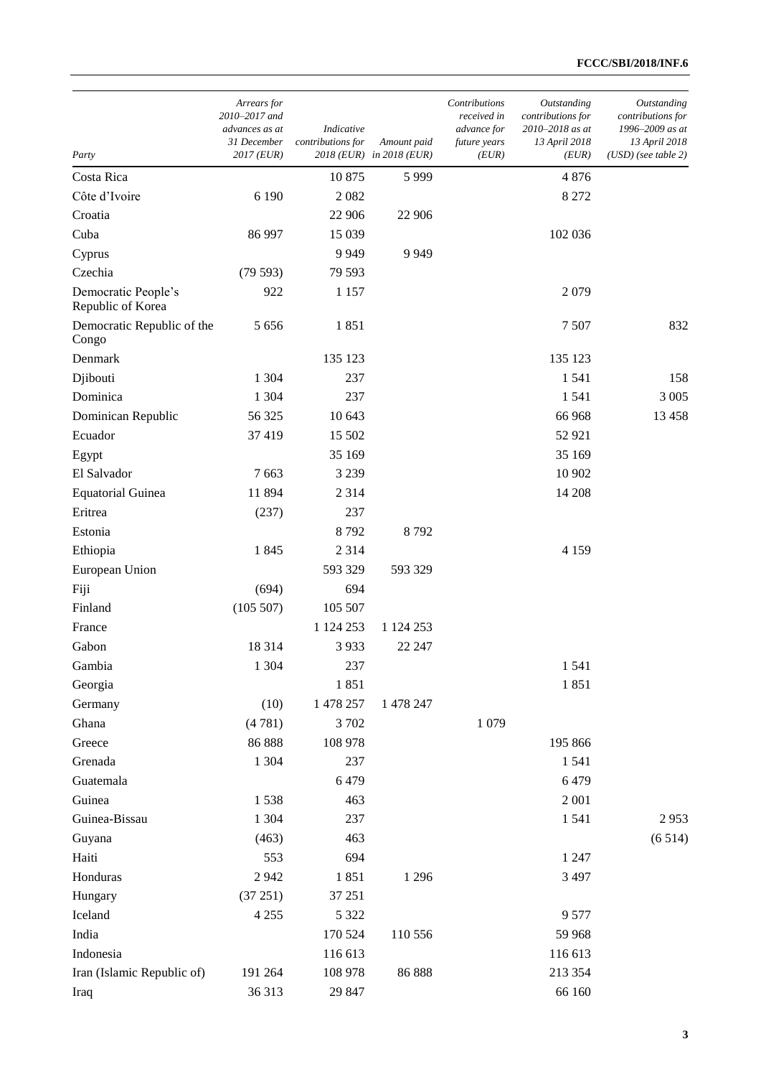| Party                                    | Arrears for<br>2010-2017 and<br>advances as at<br>31 December<br>2017 (EUR) | Indicative<br>contributions for | Amount paid<br>2018 (EUR) in 2018 (EUR) | Contributions<br>received in<br>advance for<br>future years<br>(EUR) | Outstanding<br>contributions for<br>2010-2018 as at<br>13 April 2018<br>(EUR) | Outstanding<br>contributions for<br>1996-2009 as at<br>13 April 2018<br>$(USD)$ (see table 2) |
|------------------------------------------|-----------------------------------------------------------------------------|---------------------------------|-----------------------------------------|----------------------------------------------------------------------|-------------------------------------------------------------------------------|-----------------------------------------------------------------------------------------------|
| Costa Rica                               |                                                                             | 10 875                          | 5999                                    |                                                                      | 4876                                                                          |                                                                                               |
| Côte d'Ivoire                            | 6 1 9 0                                                                     | 2082                            |                                         |                                                                      | 8 2 7 2                                                                       |                                                                                               |
| Croatia                                  |                                                                             | 22 906                          | 22 906                                  |                                                                      |                                                                               |                                                                                               |
| Cuba                                     | 86 997                                                                      | 15 0 39                         |                                         |                                                                      | 102 036                                                                       |                                                                                               |
| Cyprus                                   |                                                                             | 9949                            | 9 9 4 9                                 |                                                                      |                                                                               |                                                                                               |
| Czechia                                  | (79593)                                                                     | 79 593                          |                                         |                                                                      |                                                                               |                                                                                               |
| Democratic People's<br>Republic of Korea | 922                                                                         | 1 1 5 7                         |                                         |                                                                      | 2079                                                                          |                                                                                               |
| Democratic Republic of the<br>Congo      | 5 6 5 6                                                                     | 1851                            |                                         |                                                                      | 7507                                                                          | 832                                                                                           |
| Denmark                                  |                                                                             | 135 123                         |                                         |                                                                      | 135 123                                                                       |                                                                                               |
| Djibouti                                 | 1 304                                                                       | 237                             |                                         |                                                                      | 1541                                                                          | 158                                                                                           |
| Dominica                                 | 1 304                                                                       | 237                             |                                         |                                                                      | 1 5 4 1                                                                       | 3 0 0 5                                                                                       |
| Dominican Republic                       | 56 325                                                                      | 10 643                          |                                         |                                                                      | 66 968                                                                        | 13 4 58                                                                                       |
| Ecuador                                  | 37 419                                                                      | 15 502                          |                                         |                                                                      | 52 921                                                                        |                                                                                               |
| Egypt                                    |                                                                             | 35 169                          |                                         |                                                                      | 35 169                                                                        |                                                                                               |
| El Salvador                              | 7 6 63                                                                      | 3 2 3 9                         |                                         |                                                                      | 10 902                                                                        |                                                                                               |
| <b>Equatorial Guinea</b>                 | 11 894                                                                      | 2 3 1 4                         |                                         |                                                                      | 14 208                                                                        |                                                                                               |
| Eritrea                                  | (237)                                                                       | 237                             |                                         |                                                                      |                                                                               |                                                                                               |
| Estonia                                  |                                                                             | 8792                            | 8792                                    |                                                                      |                                                                               |                                                                                               |
| Ethiopia                                 | 1845                                                                        | 2 3 1 4                         |                                         |                                                                      | 4 1 5 9                                                                       |                                                                                               |
| European Union                           |                                                                             | 593 329                         | 593 329                                 |                                                                      |                                                                               |                                                                                               |
| Fiji                                     | (694)                                                                       | 694                             |                                         |                                                                      |                                                                               |                                                                                               |
| Finland                                  | (105 507)                                                                   | 105 507                         |                                         |                                                                      |                                                                               |                                                                                               |
| France                                   |                                                                             | 1 124 253                       | 1 124 253                               |                                                                      |                                                                               |                                                                                               |
| Gabon                                    | 18 3 14                                                                     | 3933                            | 22 247                                  |                                                                      |                                                                               |                                                                                               |
| Gambia                                   | 1 3 0 4                                                                     | 237                             |                                         |                                                                      | 1541                                                                          |                                                                                               |
| Georgia                                  |                                                                             | 1851                            |                                         |                                                                      | 1851                                                                          |                                                                                               |
| Germany                                  | (10)                                                                        | 1 478 257                       | 1 478 247                               |                                                                      |                                                                               |                                                                                               |
| Ghana                                    | (4781)                                                                      | 3702                            |                                         | 1 0 7 9                                                              |                                                                               |                                                                                               |
| Greece                                   | 86 888                                                                      | 108 978                         |                                         |                                                                      | 195 866                                                                       |                                                                                               |
| Grenada                                  | 1 3 0 4                                                                     | 237                             |                                         |                                                                      | 1541                                                                          |                                                                                               |
| Guatemala                                |                                                                             | 6479                            |                                         |                                                                      | 6479                                                                          |                                                                                               |
| Guinea                                   | 1538                                                                        | 463                             |                                         |                                                                      | 2 0 0 1                                                                       |                                                                                               |
| Guinea-Bissau                            | 1 3 0 4                                                                     | 237                             |                                         |                                                                      | 1541                                                                          | 2953                                                                                          |
| Guyana                                   | (463)                                                                       | 463                             |                                         |                                                                      |                                                                               | (6514)                                                                                        |
| Haiti                                    | 553                                                                         | 694                             |                                         |                                                                      | 1 2 4 7                                                                       |                                                                                               |
| Honduras                                 | 2942                                                                        | 1851                            | 1 2 9 6                                 |                                                                      | 3 4 9 7                                                                       |                                                                                               |
| Hungary                                  | (37 251)                                                                    | 37 251                          |                                         |                                                                      |                                                                               |                                                                                               |
| Iceland                                  | 4 2 5 5                                                                     | 5 3 2 2                         |                                         |                                                                      | 9577                                                                          |                                                                                               |
| India                                    |                                                                             | 170 524                         | 110 556                                 |                                                                      | 59 968                                                                        |                                                                                               |
| Indonesia                                |                                                                             | 116 613                         |                                         |                                                                      | 116 613                                                                       |                                                                                               |
| Iran (Islamic Republic of)               | 191 264                                                                     | 108 978                         | 86 888                                  |                                                                      | 213 354                                                                       |                                                                                               |
| Iraq                                     | 36 313                                                                      | 29 847                          |                                         |                                                                      | 66 160                                                                        |                                                                                               |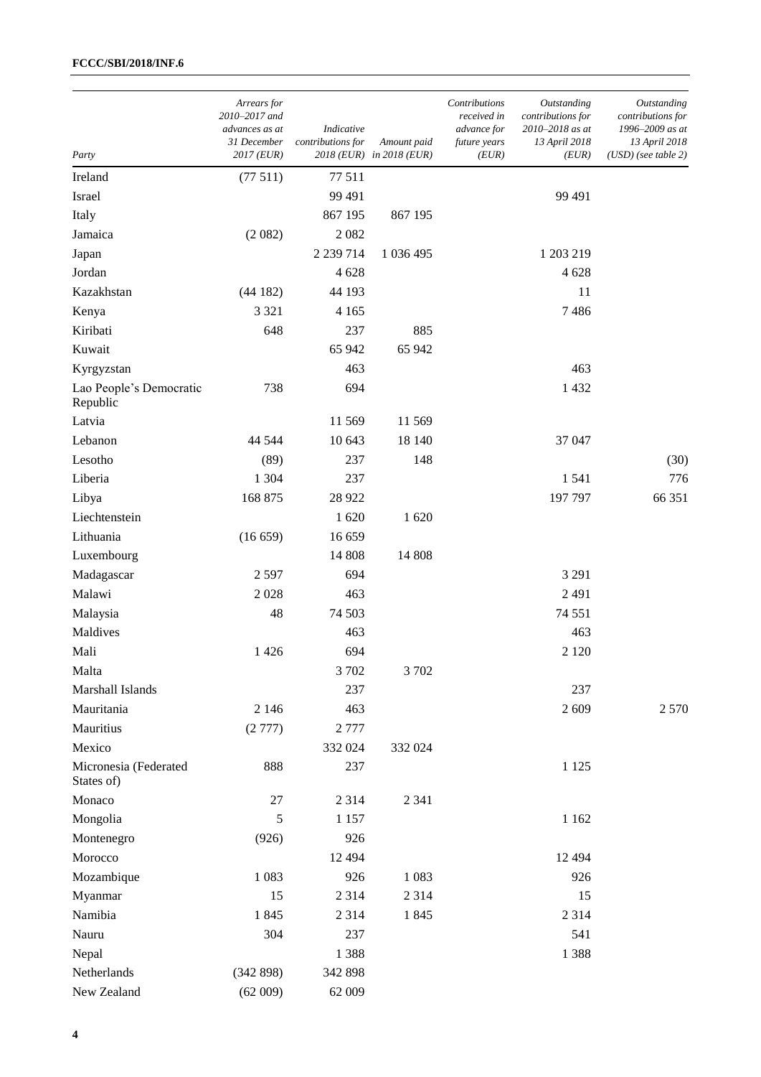| Party                               | Arrears for<br>2010–2017 and<br>advances as at<br>31 December<br>2017 (EUR) | Indicative<br>contributions for | Amount paid<br>2018 (EUR) in 2018 (EUR) | Contributions<br>received in<br>advance for<br>future years<br>(EUR) | Outstanding<br>contributions for<br>2010-2018 as at<br>13 April 2018<br>(EUR) | Outstanding<br>contributions for<br>1996–2009 as at<br>13 April 2018<br>$(USD)$ (see table 2) |
|-------------------------------------|-----------------------------------------------------------------------------|---------------------------------|-----------------------------------------|----------------------------------------------------------------------|-------------------------------------------------------------------------------|-----------------------------------------------------------------------------------------------|
| Ireland                             | (77511)                                                                     | 77 511                          |                                         |                                                                      |                                                                               |                                                                                               |
| Israel                              |                                                                             | 99 491                          |                                         |                                                                      | 99 491                                                                        |                                                                                               |
| Italy                               |                                                                             | 867 195                         | 867 195                                 |                                                                      |                                                                               |                                                                                               |
| Jamaica                             | (2082)                                                                      | 2082                            |                                         |                                                                      |                                                                               |                                                                                               |
| Japan                               |                                                                             | 2 239 714                       | 1 036 495                               |                                                                      | 1 203 219                                                                     |                                                                                               |
| Jordan                              |                                                                             | 4628                            |                                         |                                                                      | 4628                                                                          |                                                                                               |
| Kazakhstan                          | (44182)                                                                     | 44 193                          |                                         |                                                                      | 11                                                                            |                                                                                               |
| Kenya                               | 3 3 2 1                                                                     | 4 1 6 5                         |                                         |                                                                      | 7486                                                                          |                                                                                               |
| Kiribati                            | 648                                                                         | 237                             | 885                                     |                                                                      |                                                                               |                                                                                               |
| Kuwait                              |                                                                             | 65 942                          | 65 942                                  |                                                                      |                                                                               |                                                                                               |
| Kyrgyzstan                          |                                                                             | 463                             |                                         |                                                                      | 463                                                                           |                                                                                               |
| Lao People's Democratic<br>Republic | 738                                                                         | 694                             |                                         |                                                                      | 1432                                                                          |                                                                                               |
| Latvia                              |                                                                             | 11 569                          | 11 569                                  |                                                                      |                                                                               |                                                                                               |
| Lebanon                             | 44 544                                                                      | 10 643                          | 18 140                                  |                                                                      | 37 047                                                                        |                                                                                               |
| Lesotho                             | (89)                                                                        | 237                             | 148                                     |                                                                      |                                                                               | (30)                                                                                          |
| Liberia                             | 1 3 0 4                                                                     | 237                             |                                         |                                                                      | 1541                                                                          | 776                                                                                           |
| Libya                               | 168 875                                                                     | 28 9 22                         |                                         |                                                                      | 197 797                                                                       | 66 351                                                                                        |
| Liechtenstein                       |                                                                             | 1620                            | 1 620                                   |                                                                      |                                                                               |                                                                                               |
| Lithuania                           | (16659)                                                                     | 16 659                          |                                         |                                                                      |                                                                               |                                                                                               |
| Luxembourg                          |                                                                             | 14 808                          | 14 808                                  |                                                                      |                                                                               |                                                                                               |
| Madagascar                          | 2 5 9 7                                                                     | 694                             |                                         |                                                                      | 3 2 9 1                                                                       |                                                                                               |
| Malawi                              | 2028                                                                        | 463                             |                                         |                                                                      | 2491                                                                          |                                                                                               |
| Malaysia                            | 48                                                                          | 74 503                          |                                         |                                                                      | 74 551                                                                        |                                                                                               |
| Maldives                            |                                                                             | 463                             |                                         |                                                                      | 463                                                                           |                                                                                               |
| Mali                                | 1 4 2 6                                                                     | 694                             |                                         |                                                                      | 2 1 2 0                                                                       |                                                                                               |
| Malta                               |                                                                             | 3702                            | 3702                                    |                                                                      |                                                                               |                                                                                               |
| Marshall Islands                    |                                                                             | 237                             |                                         |                                                                      | 237                                                                           |                                                                                               |
| Mauritania                          | 2 1 4 6                                                                     | 463                             |                                         |                                                                      | 2609                                                                          | 2 5 7 0                                                                                       |
| Mauritius                           | (2777)                                                                      | 2777                            |                                         |                                                                      |                                                                               |                                                                                               |
| Mexico                              |                                                                             | 332 024                         | 332 024                                 |                                                                      |                                                                               |                                                                                               |
| Micronesia (Federated<br>States of) | 888                                                                         | 237                             |                                         |                                                                      | 1 1 2 5                                                                       |                                                                                               |
| Monaco                              | 27                                                                          | 2 3 1 4                         | 2 3 4 1                                 |                                                                      |                                                                               |                                                                                               |
| Mongolia                            | 5                                                                           | 1 1 5 7                         |                                         |                                                                      | 1 1 6 2                                                                       |                                                                                               |
| Montenegro                          | (926)                                                                       | 926                             |                                         |                                                                      |                                                                               |                                                                                               |
| Morocco                             |                                                                             | 12 4 9 4                        |                                         |                                                                      | 12 4 94                                                                       |                                                                                               |
| Mozambique                          | 1 0 8 3                                                                     | 926                             | 1 0 8 3                                 |                                                                      | 926                                                                           |                                                                                               |
| Myanmar                             | 15                                                                          | 2 3 1 4                         | 2 3 1 4                                 |                                                                      | 15                                                                            |                                                                                               |
| Namibia                             | 1845                                                                        | 2 3 1 4                         | 1845                                    |                                                                      | 2 3 1 4                                                                       |                                                                                               |
| Nauru                               | 304                                                                         | 237                             |                                         |                                                                      | 541                                                                           |                                                                                               |
| Nepal                               |                                                                             | 1388                            |                                         |                                                                      | 1388                                                                          |                                                                                               |
| Netherlands                         | (342898)                                                                    | 342 898                         |                                         |                                                                      |                                                                               |                                                                                               |
| New Zealand                         | (62009)                                                                     | 62 009                          |                                         |                                                                      |                                                                               |                                                                                               |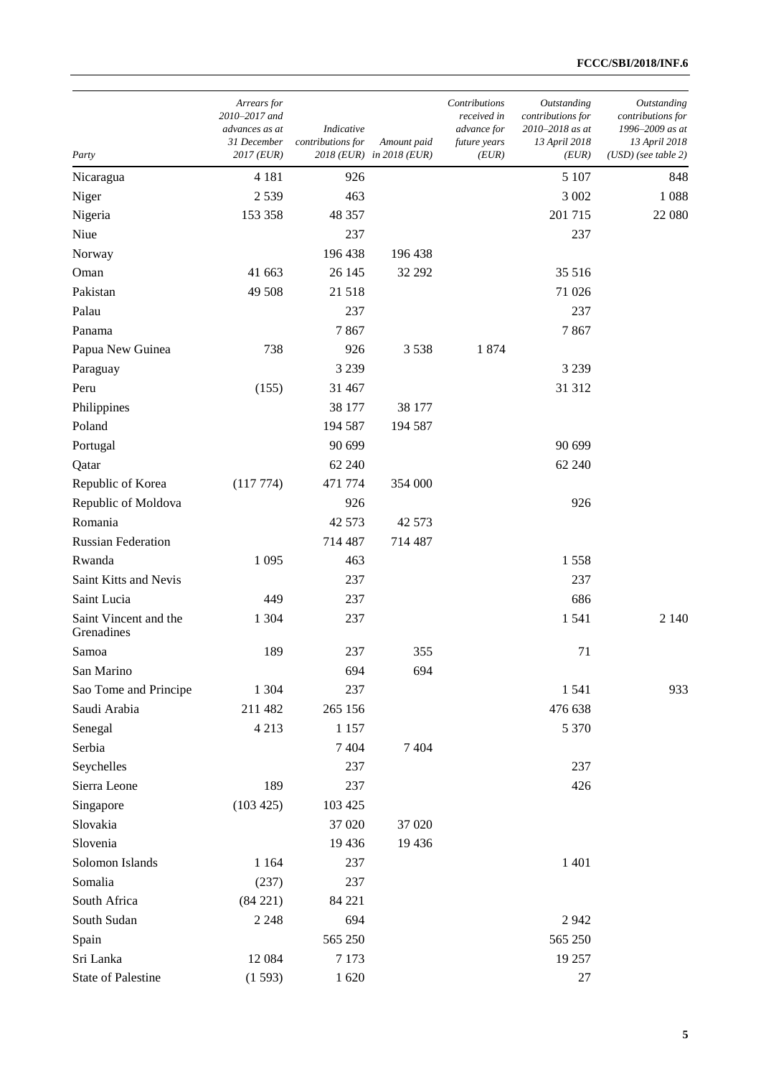| Party                               | Arrears for<br>2010-2017 and<br>advances as at<br>31 December<br>2017 (EUR) | Indicative<br>contributions for | Amount paid<br>2018 (EUR) in 2018 (EUR) | Contributions<br>received in<br>advance for<br>future years<br>(EUR) | Outstanding<br>contributions for<br>2010-2018 as at<br>13 April 2018<br>(EUR) | Outstanding<br>contributions for<br>1996–2009 as at<br>13 April 2018<br>$(USD)$ (see table 2) |
|-------------------------------------|-----------------------------------------------------------------------------|---------------------------------|-----------------------------------------|----------------------------------------------------------------------|-------------------------------------------------------------------------------|-----------------------------------------------------------------------------------------------|
| Nicaragua                           | 4 1 8 1                                                                     | 926                             |                                         |                                                                      | 5 107                                                                         | 848                                                                                           |
| Niger                               | 2539                                                                        | 463                             |                                         |                                                                      | 3 0 0 2                                                                       | 1088                                                                                          |
| Nigeria                             | 153 358                                                                     | 48 357                          |                                         |                                                                      | 201 715                                                                       | 22 080                                                                                        |
| Niue                                |                                                                             | 237                             |                                         |                                                                      | 237                                                                           |                                                                                               |
| Norway                              |                                                                             | 196 438                         | 196 438                                 |                                                                      |                                                                               |                                                                                               |
| Oman                                | 41 663                                                                      | 26 145                          | 32 29 2                                 |                                                                      | 35 516                                                                        |                                                                                               |
| Pakistan                            | 49 508                                                                      | 21 5 18                         |                                         |                                                                      | 71 026                                                                        |                                                                                               |
| Palau                               |                                                                             | 237                             |                                         |                                                                      | 237                                                                           |                                                                                               |
| Panama                              |                                                                             | 7867                            |                                         |                                                                      | 7867                                                                          |                                                                                               |
| Papua New Guinea                    | 738                                                                         | 926                             | 3538                                    | 1874                                                                 |                                                                               |                                                                                               |
| Paraguay                            |                                                                             | 3 2 3 9                         |                                         |                                                                      | 3 2 3 9                                                                       |                                                                                               |
| Peru                                | (155)                                                                       | 31 467                          |                                         |                                                                      | 31 312                                                                        |                                                                                               |
| Philippines                         |                                                                             | 38 177                          | 38 177                                  |                                                                      |                                                                               |                                                                                               |
| Poland                              |                                                                             | 194 587                         | 194 587                                 |                                                                      |                                                                               |                                                                                               |
| Portugal                            |                                                                             | 90 699                          |                                         |                                                                      | 90 699                                                                        |                                                                                               |
| Qatar                               |                                                                             | 62 240                          |                                         |                                                                      | 62 240                                                                        |                                                                                               |
| Republic of Korea                   | (117774)                                                                    | 471 774                         | 354 000                                 |                                                                      |                                                                               |                                                                                               |
| Republic of Moldova                 |                                                                             | 926                             |                                         |                                                                      | 926                                                                           |                                                                                               |
| Romania                             |                                                                             | 42 573                          | 42 573                                  |                                                                      |                                                                               |                                                                                               |
| <b>Russian Federation</b>           |                                                                             | 714 487                         | 714 487                                 |                                                                      |                                                                               |                                                                                               |
| Rwanda                              | 1 0 9 5                                                                     | 463                             |                                         |                                                                      | 1558                                                                          |                                                                                               |
| Saint Kitts and Nevis               |                                                                             | 237                             |                                         |                                                                      | 237                                                                           |                                                                                               |
| Saint Lucia                         | 449                                                                         | 237                             |                                         |                                                                      | 686                                                                           |                                                                                               |
| Saint Vincent and the<br>Grenadines | 1 3 0 4                                                                     | 237                             |                                         |                                                                      | 1541                                                                          | 2 1 4 0                                                                                       |
| Samoa                               | 189                                                                         | 237                             | 355                                     |                                                                      | 71                                                                            |                                                                                               |
| San Marino                          |                                                                             | 694                             | 694                                     |                                                                      |                                                                               |                                                                                               |
| Sao Tome and Principe               | 1 3 0 4                                                                     | 237                             |                                         |                                                                      | 1541                                                                          | 933                                                                                           |
| Saudi Arabia                        | 211 482                                                                     | 265 156                         |                                         |                                                                      | 476 638                                                                       |                                                                                               |
| Senegal                             | 4 2 1 3                                                                     | 1 1 5 7                         |                                         |                                                                      | 5 3 7 0                                                                       |                                                                                               |
| Serbia                              |                                                                             | 7 4 0 4                         | 7 4 0 4                                 |                                                                      |                                                                               |                                                                                               |
| Seychelles                          |                                                                             | 237                             |                                         |                                                                      | 237                                                                           |                                                                                               |
| Sierra Leone                        | 189                                                                         | 237                             |                                         |                                                                      | 426                                                                           |                                                                                               |
| Singapore                           | (103 425)                                                                   | 103 425                         |                                         |                                                                      |                                                                               |                                                                                               |
| Slovakia                            |                                                                             | 37 0 20                         | 37 020                                  |                                                                      |                                                                               |                                                                                               |
| Slovenia                            |                                                                             | 19 4 36                         | 19 4 36                                 |                                                                      |                                                                               |                                                                                               |
| Solomon Islands                     | 1 1 6 4                                                                     | 237                             |                                         |                                                                      | 1 4 0 1                                                                       |                                                                                               |
| Somalia                             | (237)                                                                       | 237                             |                                         |                                                                      |                                                                               |                                                                                               |
| South Africa                        | (84 221)                                                                    | 84 221                          |                                         |                                                                      |                                                                               |                                                                                               |
| South Sudan                         | 2 2 4 8                                                                     | 694                             |                                         |                                                                      | 2942                                                                          |                                                                                               |
| Spain                               |                                                                             | 565 250                         |                                         |                                                                      | 565 250                                                                       |                                                                                               |
| Sri Lanka                           | 12 084                                                                      | 7 1 7 3                         |                                         |                                                                      | 19 257                                                                        |                                                                                               |
| <b>State of Palestine</b>           | (1593)                                                                      | 1620                            |                                         |                                                                      | 27                                                                            |                                                                                               |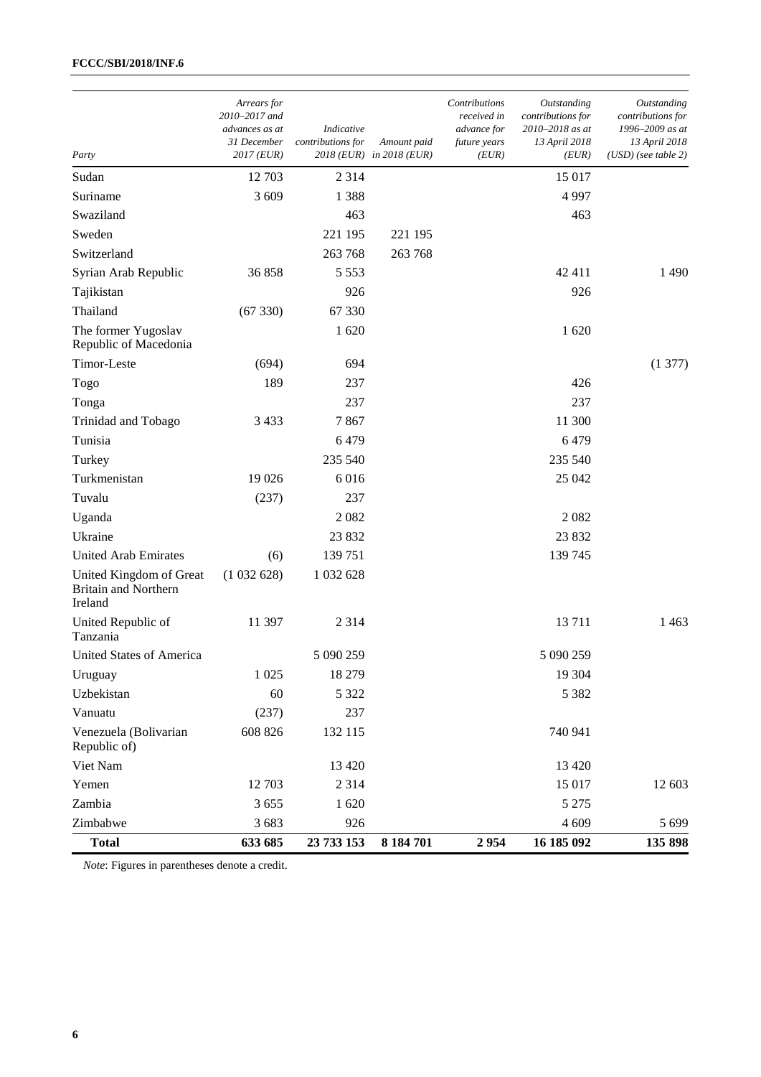| Party                                                             | Arrears for<br>2010-2017 and<br>advances as at<br><i>31 December</i><br>$2017$ (EUR) | Indicative<br>contributions for | Amount paid<br>2018 (EUR) in 2018 (EUR) | Contributions<br>received in<br>advance for<br>future years<br>(EUR) | Outstanding<br>contributions for<br>2010–2018 as at<br>13 April 2018<br>(EUR) | Outstanding<br>contributions for<br>1996-2009 as at<br>13 April 2018<br>$(USD)$ (see table 2) |
|-------------------------------------------------------------------|--------------------------------------------------------------------------------------|---------------------------------|-----------------------------------------|----------------------------------------------------------------------|-------------------------------------------------------------------------------|-----------------------------------------------------------------------------------------------|
| Sudan                                                             | 12 703                                                                               | 2 3 1 4                         |                                         |                                                                      | 15 017                                                                        |                                                                                               |
| Suriname                                                          | 3 609                                                                                | 1388                            |                                         |                                                                      | 4997                                                                          |                                                                                               |
| Swaziland                                                         |                                                                                      | 463                             |                                         |                                                                      | 463                                                                           |                                                                                               |
| Sweden                                                            |                                                                                      | 221 195                         | 221 195                                 |                                                                      |                                                                               |                                                                                               |
| Switzerland                                                       |                                                                                      | 263 768                         | 263 768                                 |                                                                      |                                                                               |                                                                                               |
| Syrian Arab Republic                                              | 36 858                                                                               | 5 5 5 3                         |                                         |                                                                      | 42 411                                                                        | 1490                                                                                          |
| Tajikistan                                                        |                                                                                      | 926                             |                                         |                                                                      | 926                                                                           |                                                                                               |
| Thailand                                                          | (67330)                                                                              | 67 330                          |                                         |                                                                      |                                                                               |                                                                                               |
| The former Yugoslav<br>Republic of Macedonia                      |                                                                                      | 1 620                           |                                         |                                                                      | 1620                                                                          |                                                                                               |
| Timor-Leste                                                       | (694)                                                                                | 694                             |                                         |                                                                      |                                                                               | (1377)                                                                                        |
| Togo                                                              | 189                                                                                  | 237                             |                                         |                                                                      | 426                                                                           |                                                                                               |
| Tonga                                                             |                                                                                      | 237                             |                                         |                                                                      | 237                                                                           |                                                                                               |
| Trinidad and Tobago                                               | 3 4 3 3                                                                              | 7867                            |                                         |                                                                      | 11 300                                                                        |                                                                                               |
| Tunisia                                                           |                                                                                      | 6479                            |                                         |                                                                      | 6479                                                                          |                                                                                               |
| Turkey                                                            |                                                                                      | 235 540                         |                                         |                                                                      | 235 540                                                                       |                                                                                               |
| Turkmenistan                                                      | 19 0 26                                                                              | 6016                            |                                         |                                                                      | 25 042                                                                        |                                                                                               |
| Tuvalu                                                            | (237)                                                                                | 237                             |                                         |                                                                      |                                                                               |                                                                                               |
| Uganda                                                            |                                                                                      | 2082                            |                                         |                                                                      | 2082                                                                          |                                                                                               |
| Ukraine                                                           |                                                                                      | 23 832                          |                                         |                                                                      | 23 832                                                                        |                                                                                               |
| <b>United Arab Emirates</b>                                       | (6)                                                                                  | 139 751                         |                                         |                                                                      | 139 745                                                                       |                                                                                               |
| United Kingdom of Great<br><b>Britain and Northern</b><br>Ireland | (1032628)                                                                            | 1 032 628                       |                                         |                                                                      |                                                                               |                                                                                               |
| United Republic of<br>Tanzania                                    | 11 397                                                                               | 2 3 1 4                         |                                         |                                                                      | 13711                                                                         | 1463                                                                                          |
| United States of America                                          |                                                                                      | 5 090 259                       |                                         |                                                                      | 5 090 259                                                                     |                                                                                               |
| Uruguay                                                           | 1 0 25                                                                               | 18 279                          |                                         |                                                                      | 19 304                                                                        |                                                                                               |
| Uzbekistan                                                        | 60                                                                                   | 5 3 2 2                         |                                         |                                                                      | 5 3 8 2                                                                       |                                                                                               |
| Vanuatu                                                           | (237)                                                                                | 237                             |                                         |                                                                      |                                                                               |                                                                                               |
| Venezuela (Bolivarian<br>Republic of)                             | 608 826                                                                              | 132 115                         |                                         |                                                                      | 740 941                                                                       |                                                                                               |
| Viet Nam                                                          |                                                                                      | 13 4 20                         |                                         |                                                                      | 13 4 20                                                                       |                                                                                               |
| Yemen                                                             | 12 703                                                                               | 2 3 1 4                         |                                         |                                                                      | 15 017                                                                        | 12 603                                                                                        |
| Zambia                                                            | 3 6 5 5                                                                              | 1620                            |                                         |                                                                      | 5 2 7 5                                                                       |                                                                                               |
| Zimbabwe                                                          | 3 683                                                                                | 926                             |                                         |                                                                      | 4 609                                                                         | 5 6 9 9                                                                                       |
| <b>Total</b>                                                      | 633 685                                                                              | 23 733 153                      | 8 184 701                               | 2954                                                                 | 16 185 092                                                                    | 135 898                                                                                       |

*Note*: Figures in parentheses denote a credit.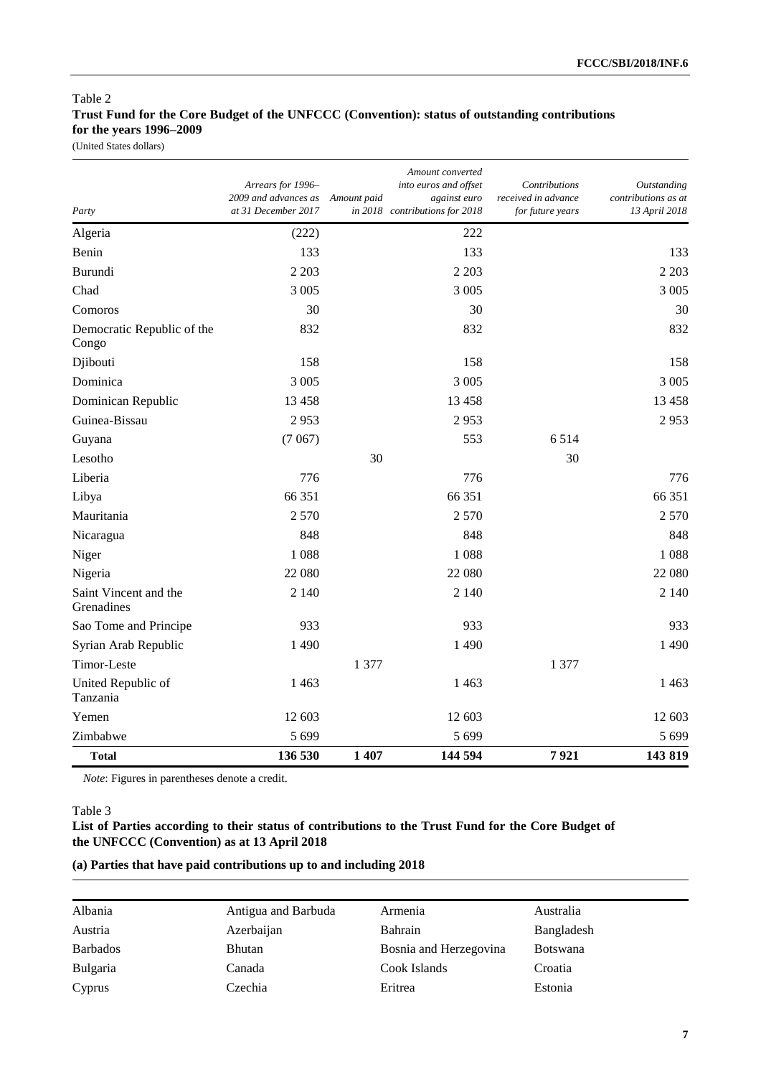# Table 2 **Trust Fund for the Core Budget of the UNFCCC (Convention): status of outstanding contributions for the years 1996–2009**

(United States dollars)

| Party                               | Arrears for 1996-<br>2009 and advances as<br>at 31 December 2017 | Amount paid | Amount converted<br>into euros and offset<br>against euro<br>in 2018 contributions for 2018 | Contributions<br>received in advance<br>for future years | <i><b>Outstanding</b></i><br>contributions as at<br>13 April 2018 |
|-------------------------------------|------------------------------------------------------------------|-------------|---------------------------------------------------------------------------------------------|----------------------------------------------------------|-------------------------------------------------------------------|
| Algeria                             | (222)                                                            |             | 222                                                                                         |                                                          |                                                                   |
| Benin                               | 133                                                              |             | 133                                                                                         |                                                          | 133                                                               |
| Burundi                             | 2 2 0 3                                                          |             | 2 2 0 3                                                                                     |                                                          | 2 2 0 3                                                           |
| Chad                                | 3 0 0 5                                                          |             | 3 0 0 5                                                                                     |                                                          | 3 0 0 5                                                           |
| Comoros                             | 30                                                               |             | 30                                                                                          |                                                          | 30                                                                |
| Democratic Republic of the<br>Congo | 832                                                              |             | 832                                                                                         |                                                          | 832                                                               |
| Djibouti                            | 158                                                              |             | 158                                                                                         |                                                          | 158                                                               |
| Dominica                            | 3 0 0 5                                                          |             | 3 0 0 5                                                                                     |                                                          | 3 0 0 5                                                           |
| Dominican Republic                  | 13 4 58                                                          |             | 13 4 58                                                                                     |                                                          | 13 458                                                            |
| Guinea-Bissau                       | 2953                                                             |             | 2953                                                                                        |                                                          | 2953                                                              |
| Guyana                              | (7067)                                                           |             | 553                                                                                         | 6.514                                                    |                                                                   |
| Lesotho                             |                                                                  | 30          |                                                                                             | 30                                                       |                                                                   |
| Liberia                             | 776                                                              |             | 776                                                                                         |                                                          | 776                                                               |
| Libya                               | 66 351                                                           |             | 66 351                                                                                      |                                                          | 66 351                                                            |
| Mauritania                          | 2570                                                             |             | 2570                                                                                        |                                                          | 2 5 7 0                                                           |
| Nicaragua                           | 848                                                              |             | 848                                                                                         |                                                          | 848                                                               |
| Niger                               | 1088                                                             |             | 1088                                                                                        |                                                          | 1088                                                              |
| Nigeria                             | 22 080                                                           |             | 22 080                                                                                      |                                                          | 22 080                                                            |
| Saint Vincent and the<br>Grenadines | 2 1 4 0                                                          |             | 2 1 4 0                                                                                     |                                                          | 2 1 4 0                                                           |
| Sao Tome and Principe               | 933                                                              |             | 933                                                                                         |                                                          | 933                                                               |
| Syrian Arab Republic                | 1490                                                             |             | 1490                                                                                        |                                                          | 1490                                                              |
| Timor-Leste                         |                                                                  | 1 377       |                                                                                             | 1 377                                                    |                                                                   |
| United Republic of<br>Tanzania      | 1463                                                             |             | 1463                                                                                        |                                                          | 1463                                                              |
| Yemen                               | 12 603                                                           |             | 12 603                                                                                      |                                                          | 12 603                                                            |
| Zimbabwe                            | 5 6 9 9                                                          |             | 5 6 9 9                                                                                     |                                                          | 5 6 9 9                                                           |
| <b>Total</b>                        | 136 530                                                          | 1 407       | 144 594                                                                                     | 7921                                                     | 143 819                                                           |

*Note*: Figures in parentheses denote a credit.

### Table 3

**List of Parties according to their status of contributions to the Trust Fund for the Core Budget of the UNFCCC (Convention) as at 13 April 2018**

# **(a) Parties that have paid contributions up to and including 2018**

| Albania         | Antigua and Barbuda | Armenia                | Australia       |
|-----------------|---------------------|------------------------|-----------------|
| Austria         | Azerbaijan          | Bahrain                | Bangladesh      |
| <b>Barbados</b> | <b>Bhutan</b>       | Bosnia and Herzegovina | <b>Botswana</b> |
| <b>Bulgaria</b> | Canada              | Cook Islands           | Croatia         |
| Cyprus          | Czechia             | Eritrea                | Estonia         |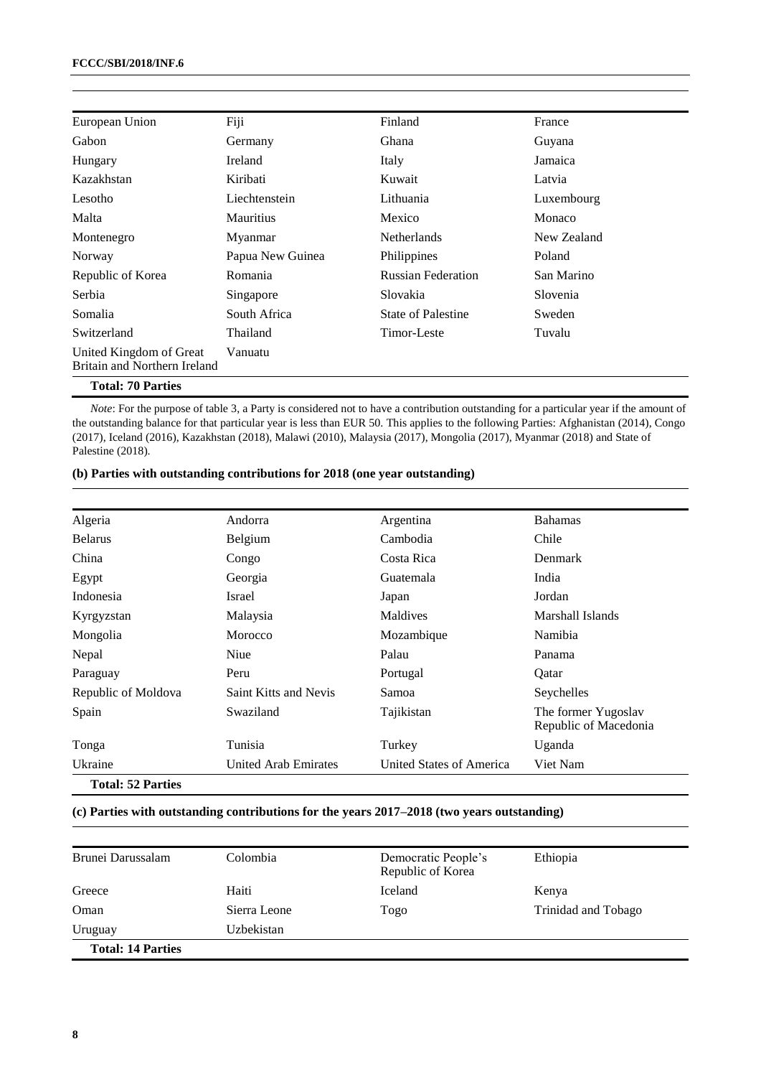| European Union                                          | Fiji             | Finland                   | France      |
|---------------------------------------------------------|------------------|---------------------------|-------------|
| Gabon                                                   | Germany          | Ghana                     | Guyana      |
| Hungary                                                 | <b>Ireland</b>   | Italy                     | Jamaica     |
| Kazakhstan                                              | Kiribati         | Kuwait                    | Latvia      |
| Lesotho                                                 | Liechtenstein    | Lithuania                 | Luxembourg  |
| Malta                                                   | <b>Mauritius</b> | Mexico                    | Monaco      |
| Montenegro                                              | Myanmar          | <b>Netherlands</b>        | New Zealand |
| Norway                                                  | Papua New Guinea | Philippines               | Poland      |
| Republic of Korea                                       | Romania          | <b>Russian Federation</b> | San Marino  |
| Serbia                                                  | Singapore        | Slovakia                  | Slovenia    |
| Somalia                                                 | South Africa     | <b>State of Palestine</b> | Sweden      |
| Switzerland                                             | Thailand         | Timor-Leste               | Tuvalu      |
| United Kingdom of Great<br>Britain and Northern Ireland | Vanuatu          |                           |             |
| <b>Total: 70 Parties</b>                                |                  |                           |             |

*Note*: For the purpose of table 3, a Party is considered not to have a contribution outstanding for a particular year if the amount of the outstanding balance for that particular year is less than EUR 50. This applies to the following Parties: Afghanistan (2014), Congo (2017), Iceland (2016), Kazakhstan (2018), Malawi (2010), Malaysia (2017), Mongolia (2017), Myanmar (2018) and State of Palestine (2018).

### **(b) Parties with outstanding contributions for 2018 (one year outstanding)**

| Algeria                  | Andorra               | Argentina                | <b>Bahamas</b>                               |
|--------------------------|-----------------------|--------------------------|----------------------------------------------|
| <b>Belarus</b>           | Belgium               | Cambodia                 | Chile                                        |
| China                    | Congo                 | Costa Rica               | Denmark                                      |
| Egypt                    | Georgia               | Guatemala                | India                                        |
| Indonesia                | Israel                | Japan                    | Jordan                                       |
| Kyrgyzstan               | Malaysia              | Maldives                 | Marshall Islands                             |
| Mongolia                 | Morocco               | Mozambique               | Namibia                                      |
| Nepal                    | Niue                  | Palau                    | Panama                                       |
| Paraguay                 | Peru                  | Portugal                 | Qatar                                        |
| Republic of Moldova      | Saint Kitts and Nevis | Samoa                    | Seychelles                                   |
| Spain                    | Swaziland             | Tajikistan               | The former Yugoslav<br>Republic of Macedonia |
| Tonga                    | Tunisia               | Turkey                   | Uganda                                       |
| Ukraine                  | United Arab Emirates  | United States of America | Viet Nam                                     |
| <b>Total: 52 Parties</b> |                       |                          |                                              |

#### **(c) Parties with outstanding contributions for the years 2017–2018 (two years outstanding)**

| Brunei Darussalam        | Colombia     | Democratic People's<br>Republic of Korea | Ethiopia            |
|--------------------------|--------------|------------------------------------------|---------------------|
| Greece                   | Haiti        | Iceland                                  | Kenya               |
| Oman                     | Sierra Leone | Togo                                     | Trinidad and Tobago |
| Uruguay                  | Uzbekistan   |                                          |                     |
| <b>Total: 14 Parties</b> |              |                                          |                     |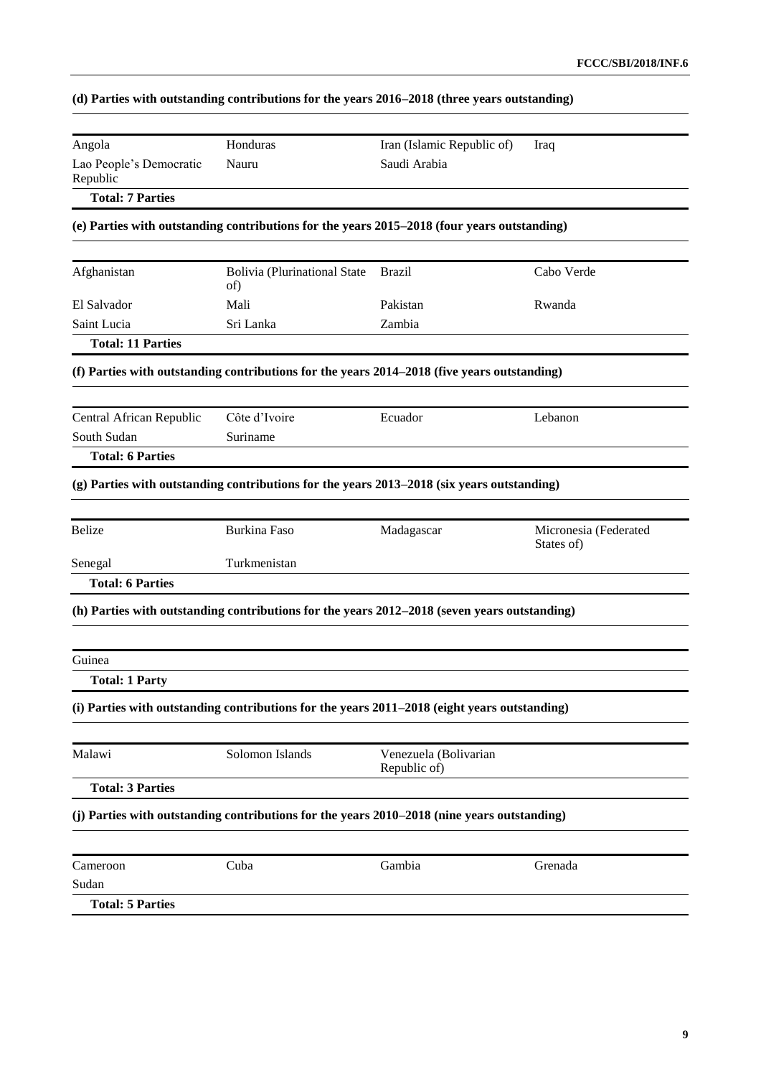|  | (d) Parties with outstanding contributions for the years 2016–2018 (three years outstanding) |  |  |
|--|----------------------------------------------------------------------------------------------|--|--|
|  |                                                                                              |  |  |

| Angola                              | Honduras                                                                                     | Iran (Islamic Republic of)            | Iraq                                |
|-------------------------------------|----------------------------------------------------------------------------------------------|---------------------------------------|-------------------------------------|
| Lao People's Democratic<br>Republic | Nauru                                                                                        | Saudi Arabia                          |                                     |
| <b>Total: 7 Parties</b>             |                                                                                              |                                       |                                     |
|                                     | (e) Parties with outstanding contributions for the years 2015–2018 (four years outstanding)  |                                       |                                     |
| Afghanistan                         | <b>Bolivia (Plurinational State</b>                                                          | <b>Brazil</b>                         | Cabo Verde                          |
|                                     | of)                                                                                          |                                       |                                     |
| El Salvador                         | Mali                                                                                         | Pakistan                              | Rwanda                              |
| Saint Lucia                         | Sri Lanka                                                                                    | Zambia                                |                                     |
| <b>Total: 11 Parties</b>            |                                                                                              |                                       |                                     |
|                                     | (f) Parties with outstanding contributions for the years 2014–2018 (five years outstanding)  |                                       |                                     |
| Central African Republic            | Côte d'Ivoire                                                                                | Ecuador                               | Lebanon                             |
| South Sudan                         | Suriname                                                                                     |                                       |                                     |
| <b>Total: 6 Parties</b>             |                                                                                              |                                       |                                     |
|                                     | (g) Parties with outstanding contributions for the years 2013–2018 (six years outstanding)   |                                       |                                     |
| <b>Belize</b>                       | <b>Burkina Faso</b>                                                                          | Madagascar                            | Micronesia (Federated<br>States of) |
| Senegal                             | Turkmenistan                                                                                 |                                       |                                     |
| <b>Total: 6 Parties</b>             |                                                                                              |                                       |                                     |
|                                     | (h) Parties with outstanding contributions for the years 2012–2018 (seven years outstanding) |                                       |                                     |
| Guinea                              |                                                                                              |                                       |                                     |
| <b>Total: 1 Party</b>               |                                                                                              |                                       |                                     |
|                                     | (i) Parties with outstanding contributions for the years 2011–2018 (eight years outstanding) |                                       |                                     |
| Malawi                              | Solomon Islands                                                                              | Venezuela (Bolivarian<br>Republic of) |                                     |
| <b>Total: 3 Parties</b>             |                                                                                              |                                       |                                     |
|                                     | (j) Parties with outstanding contributions for the years 2010–2018 (nine years outstanding)  |                                       |                                     |
| Cameroon                            | Cuba                                                                                         | Gambia                                | Grenada                             |
|                                     |                                                                                              |                                       |                                     |
| Sudan                               |                                                                                              |                                       |                                     |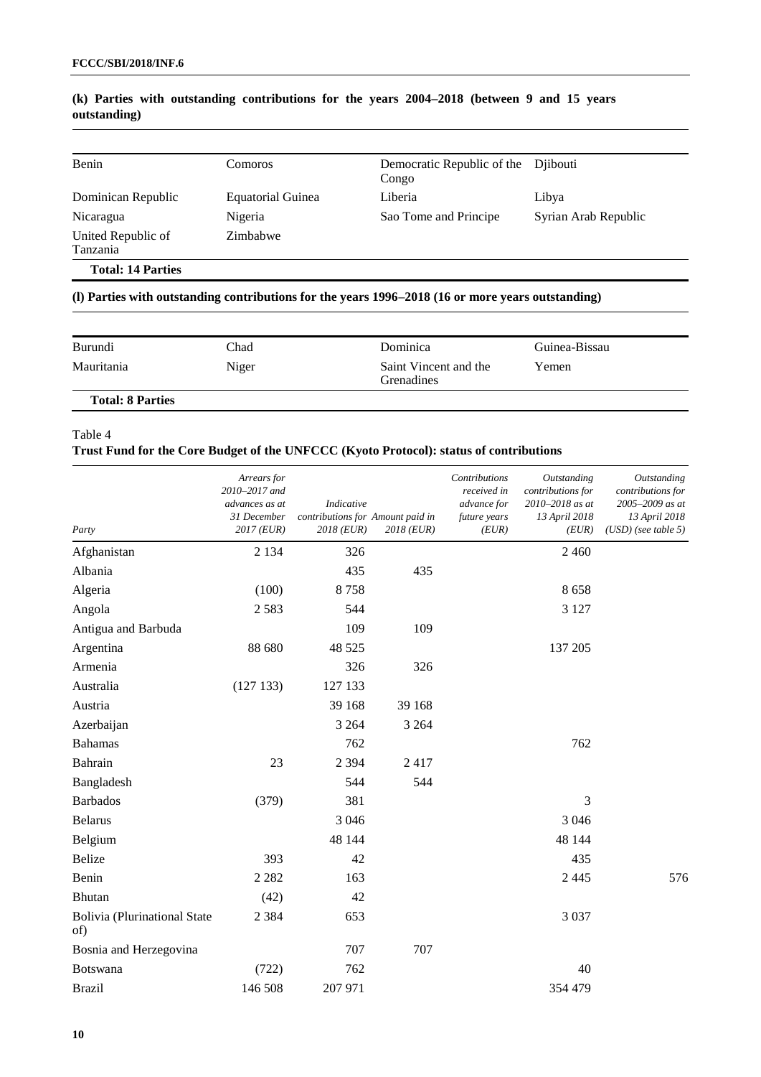| Benin                          | Comoros           | Democratic Republic of the Dilbouti<br>Congo |                      |
|--------------------------------|-------------------|----------------------------------------------|----------------------|
| Dominican Republic             | Equatorial Guinea | Liberia                                      | Libya                |
| Nicaragua                      | Nigeria           | Sao Tome and Principe                        | Syrian Arab Republic |
| United Republic of<br>Tanzania | Zimbabwe          |                                              |                      |
| <b>Total: 14 Parties</b>       |                   |                                              |                      |

### **(k) Parties with outstanding contributions for the years 2004–2018 (between 9 and 15 years outstanding)**

# **(l) Parties with outstanding contributions for the years 1996–2018 (16 or more years outstanding)**

| Burundi                 | Chad  | Dominica                                   | Guinea-Bissau |
|-------------------------|-------|--------------------------------------------|---------------|
| Mauritania              | Niger | Saint Vincent and the<br><b>Grenadines</b> | Yemen         |
| <b>Total: 8 Parties</b> |       |                                            |               |

#### Table 4

### **Trust Fund for the Core Budget of the UNFCCC (Kyoto Protocol): status of contributions**

| Party                                      | Arrears for<br>2010-2017 and<br>advances as at<br>31 December<br>2017 (EUR) | <b>Indicative</b><br>contributions for Amount paid in<br>2018 (EUR) | 2018 (EUR) | Contributions<br>received in<br>advance for<br>future years<br>(EUR) | Outstanding<br>contributions for<br>2010-2018 as at<br>13 April 2018<br>(EUR) | <b>Outstanding</b><br>contributions for<br>2005-2009 as at<br>13 April 2018<br>$(USD)$ (see table 5) |
|--------------------------------------------|-----------------------------------------------------------------------------|---------------------------------------------------------------------|------------|----------------------------------------------------------------------|-------------------------------------------------------------------------------|------------------------------------------------------------------------------------------------------|
| Afghanistan                                | 2 1 3 4                                                                     | 326                                                                 |            |                                                                      | 2 4 6 0                                                                       |                                                                                                      |
| Albania                                    |                                                                             | 435                                                                 | 435        |                                                                      |                                                                               |                                                                                                      |
| Algeria                                    | (100)                                                                       | 8758                                                                |            |                                                                      | 8658                                                                          |                                                                                                      |
| Angola                                     | 2583                                                                        | 544                                                                 |            |                                                                      | 3 1 2 7                                                                       |                                                                                                      |
| Antigua and Barbuda                        |                                                                             | 109                                                                 | 109        |                                                                      |                                                                               |                                                                                                      |
| Argentina                                  | 88 680                                                                      | 48 5 25                                                             |            |                                                                      | 137 205                                                                       |                                                                                                      |
| Armenia                                    |                                                                             | 326                                                                 | 326        |                                                                      |                                                                               |                                                                                                      |
| Australia                                  | (127133)                                                                    | 127 133                                                             |            |                                                                      |                                                                               |                                                                                                      |
| Austria                                    |                                                                             | 39 168                                                              | 39 168     |                                                                      |                                                                               |                                                                                                      |
| Azerbaijan                                 |                                                                             | 3 2 6 4                                                             | 3 2 6 4    |                                                                      |                                                                               |                                                                                                      |
| <b>Bahamas</b>                             |                                                                             | 762                                                                 |            |                                                                      | 762                                                                           |                                                                                                      |
| Bahrain                                    | 23                                                                          | 2 3 9 4                                                             | 2417       |                                                                      |                                                                               |                                                                                                      |
| Bangladesh                                 |                                                                             | 544                                                                 | 544        |                                                                      |                                                                               |                                                                                                      |
| <b>Barbados</b>                            | (379)                                                                       | 381                                                                 |            |                                                                      | 3                                                                             |                                                                                                      |
| <b>Belarus</b>                             |                                                                             | 3 0 4 6                                                             |            |                                                                      | 3 0 4 6                                                                       |                                                                                                      |
| Belgium                                    |                                                                             | 48 144                                                              |            |                                                                      | 48 144                                                                        |                                                                                                      |
| <b>Belize</b>                              | 393                                                                         | 42                                                                  |            |                                                                      | 435                                                                           |                                                                                                      |
| Benin                                      | 2 2 8 2                                                                     | 163                                                                 |            |                                                                      | 2 4 4 5                                                                       | 576                                                                                                  |
| Bhutan                                     | (42)                                                                        | 42                                                                  |            |                                                                      |                                                                               |                                                                                                      |
| <b>Bolivia</b> (Plurinational State<br>of) | 2 3 8 4                                                                     | 653                                                                 |            |                                                                      | 3 0 3 7                                                                       |                                                                                                      |
| Bosnia and Herzegovina                     |                                                                             | 707                                                                 | 707        |                                                                      |                                                                               |                                                                                                      |
| Botswana                                   | (722)                                                                       | 762                                                                 |            |                                                                      | 40                                                                            |                                                                                                      |
| <b>Brazil</b>                              | 146 508                                                                     | 207 971                                                             |            |                                                                      | 354 479                                                                       |                                                                                                      |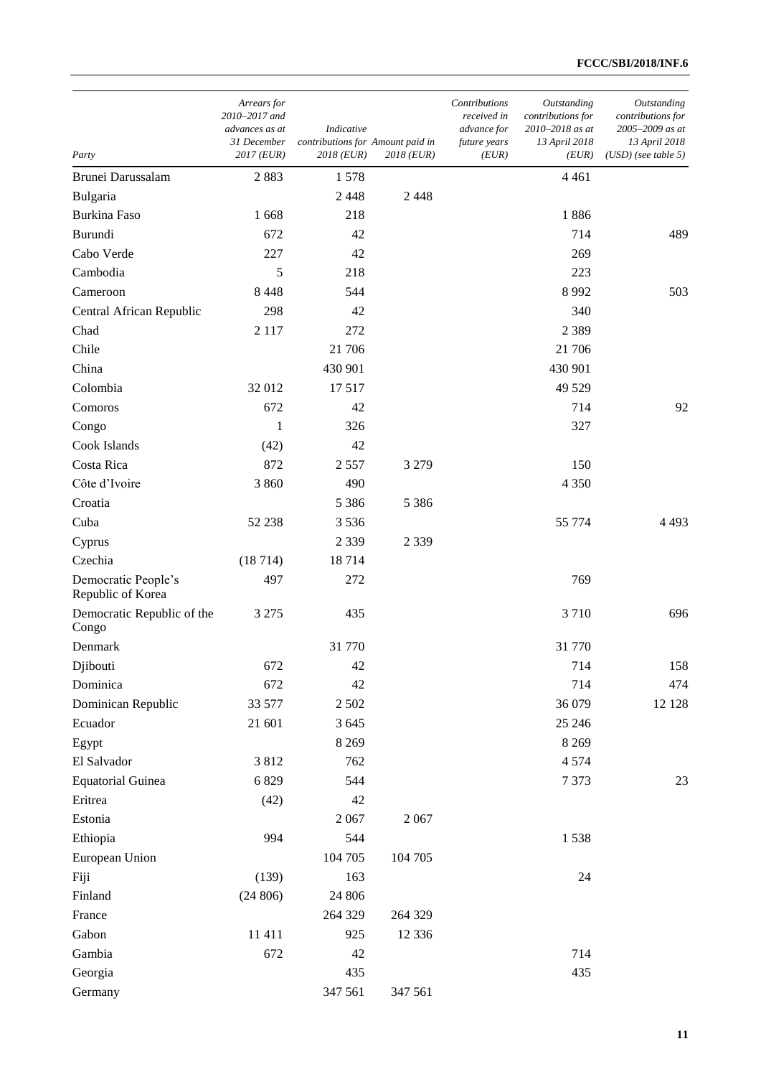| Party                                    | Arrears for<br>2010-2017 and<br>advances as at<br>31 December<br>$2017$ (EUR) | Indicative<br>contributions for Amount paid in<br>2018 (EUR) | 2018 (EUR) | Contributions<br>received in<br>advance for<br>future years<br>(EUR) | Outstanding<br>contributions for<br>2010-2018 as at<br>13 April 2018<br>(EUR) | Outstanding<br>contributions for<br>2005-2009 as at<br>13 April 2018<br>$(USD)$ (see table 5) |
|------------------------------------------|-------------------------------------------------------------------------------|--------------------------------------------------------------|------------|----------------------------------------------------------------------|-------------------------------------------------------------------------------|-----------------------------------------------------------------------------------------------|
| Brunei Darussalam                        | 2883                                                                          | 1578                                                         |            |                                                                      | 4 4 6 1                                                                       |                                                                                               |
| Bulgaria                                 |                                                                               | 2448                                                         | 2 4 4 8    |                                                                      |                                                                               |                                                                                               |
| <b>Burkina Faso</b>                      | 1 668                                                                         | 218                                                          |            |                                                                      | 1886                                                                          |                                                                                               |
| Burundi                                  | 672                                                                           | 42                                                           |            |                                                                      | 714                                                                           | 489                                                                                           |
| Cabo Verde                               | 227                                                                           | 42                                                           |            |                                                                      | 269                                                                           |                                                                                               |
| Cambodia                                 | 5                                                                             | 218                                                          |            |                                                                      | 223                                                                           |                                                                                               |
| Cameroon                                 | 8 4 4 8                                                                       | 544                                                          |            |                                                                      | 8 9 9 2                                                                       | 503                                                                                           |
| Central African Republic                 | 298                                                                           | 42                                                           |            |                                                                      | 340                                                                           |                                                                                               |
| Chad                                     | 2 1 1 7                                                                       | 272                                                          |            |                                                                      | 2 3 8 9                                                                       |                                                                                               |
| Chile                                    |                                                                               | 21 706                                                       |            |                                                                      | 21 706                                                                        |                                                                                               |
| China                                    |                                                                               | 430 901                                                      |            |                                                                      | 430 901                                                                       |                                                                                               |
| Colombia                                 | 32 012                                                                        | 17517                                                        |            |                                                                      | 49 5 29                                                                       |                                                                                               |
| Comoros                                  | 672                                                                           | 42                                                           |            |                                                                      | 714                                                                           | 92                                                                                            |
| Congo                                    | 1                                                                             | 326                                                          |            |                                                                      | 327                                                                           |                                                                                               |
| Cook Islands                             | (42)                                                                          | 42                                                           |            |                                                                      |                                                                               |                                                                                               |
| Costa Rica                               | 872                                                                           | 2557                                                         | 3 2 7 9    |                                                                      | 150                                                                           |                                                                                               |
| Côte d'Ivoire                            | 3 8 6 0                                                                       | 490                                                          |            |                                                                      | 4 3 5 0                                                                       |                                                                                               |
| Croatia                                  |                                                                               | 5 3 8 6                                                      | 5 3 8 6    |                                                                      |                                                                               |                                                                                               |
| Cuba                                     | 52 238                                                                        | 3536                                                         |            |                                                                      | 55 774                                                                        | 4 4 9 3                                                                                       |
| Cyprus                                   |                                                                               | 2 3 3 9                                                      | 2 3 3 9    |                                                                      |                                                                               |                                                                                               |
| Czechia                                  | (18714)                                                                       | 18714                                                        |            |                                                                      |                                                                               |                                                                                               |
| Democratic People's<br>Republic of Korea | 497                                                                           | 272                                                          |            |                                                                      | 769                                                                           |                                                                                               |
| Democratic Republic of the<br>Congo      | 3 2 7 5                                                                       | 435                                                          |            |                                                                      | 3710                                                                          | 696                                                                                           |
| Denmark                                  |                                                                               | 31 770                                                       |            |                                                                      | 31 770                                                                        |                                                                                               |
| Djibouti                                 | 672                                                                           | 42                                                           |            |                                                                      | 714                                                                           | 158                                                                                           |
| Dominica                                 | 672                                                                           | 42                                                           |            |                                                                      | 714                                                                           | 474                                                                                           |
| Dominican Republic                       | 33 577                                                                        | 2 5 0 2                                                      |            |                                                                      | 36 079                                                                        | 12 12 8                                                                                       |
| Ecuador                                  | 21 601                                                                        | 3 6 4 5                                                      |            |                                                                      | 25 24 6                                                                       |                                                                                               |
| Egypt                                    |                                                                               | 8 2 6 9                                                      |            |                                                                      | 8 2 6 9                                                                       |                                                                                               |
| El Salvador                              | 3812                                                                          | 762                                                          |            |                                                                      | 4574                                                                          |                                                                                               |
| <b>Equatorial Guinea</b>                 | 6829                                                                          | 544                                                          |            |                                                                      | 7373                                                                          | 23                                                                                            |
| Eritrea                                  | (42)                                                                          | 42                                                           |            |                                                                      |                                                                               |                                                                                               |
| Estonia                                  |                                                                               | 2067                                                         | 2067       |                                                                      |                                                                               |                                                                                               |
| Ethiopia                                 | 994                                                                           | 544                                                          |            |                                                                      | 1538                                                                          |                                                                                               |
| European Union                           |                                                                               | 104 705                                                      | 104 705    |                                                                      |                                                                               |                                                                                               |
| Fiji                                     | (139)                                                                         | 163                                                          |            |                                                                      | 24                                                                            |                                                                                               |
| Finland                                  | (24806)                                                                       | 24 806                                                       |            |                                                                      |                                                                               |                                                                                               |
| France                                   |                                                                               | 264 329                                                      | 264 329    |                                                                      |                                                                               |                                                                                               |
| Gabon                                    | 11 411                                                                        | 925                                                          | 12 3 36    |                                                                      |                                                                               |                                                                                               |
| Gambia                                   | 672                                                                           | 42                                                           |            |                                                                      | 714                                                                           |                                                                                               |
| Georgia                                  |                                                                               | 435                                                          |            |                                                                      | 435                                                                           |                                                                                               |
| Germany                                  |                                                                               | 347 561                                                      | 347 561    |                                                                      |                                                                               |                                                                                               |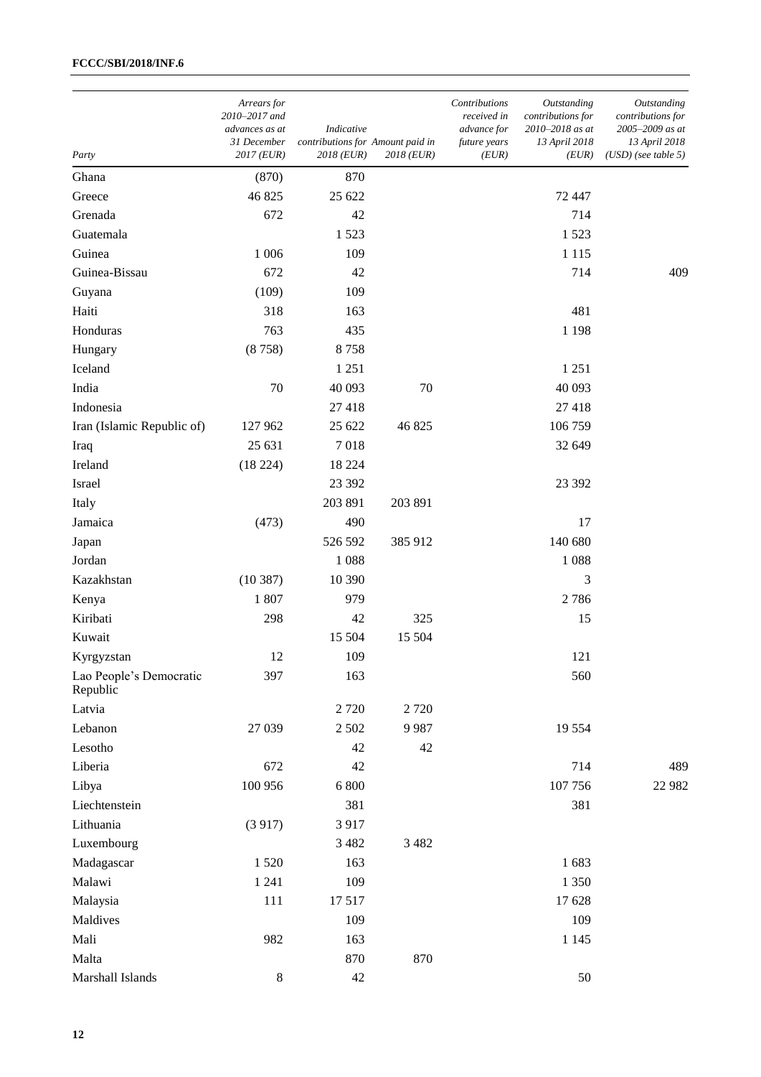| Party                               | Arrears for<br>2010-2017 and<br>advances as at<br>31 December<br>$2017$ (EUR) | Indicative<br>contributions for Amount paid in<br>2018 (EUR) | 2018 (EUR) | Contributions<br>received in<br>advance for<br>future years<br>(EUR) | Outstanding<br>contributions for<br>2010-2018 as at<br>13 April 2018<br>(EUR) | Outstanding<br>contributions for<br>2005-2009 as at<br>13 April 2018<br>$(USD)$ (see table 5) |
|-------------------------------------|-------------------------------------------------------------------------------|--------------------------------------------------------------|------------|----------------------------------------------------------------------|-------------------------------------------------------------------------------|-----------------------------------------------------------------------------------------------|
| Ghana                               | (870)                                                                         | 870                                                          |            |                                                                      |                                                                               |                                                                                               |
| Greece                              | 46 825                                                                        | 25 622                                                       |            |                                                                      | 72 447                                                                        |                                                                                               |
| Grenada                             | 672                                                                           | 42                                                           |            |                                                                      | 714                                                                           |                                                                                               |
| Guatemala                           |                                                                               | 1523                                                         |            |                                                                      | 1523                                                                          |                                                                                               |
| Guinea                              | 1 0 0 6                                                                       | 109                                                          |            |                                                                      | 1 1 1 5                                                                       |                                                                                               |
| Guinea-Bissau                       | 672                                                                           | 42                                                           |            |                                                                      | 714                                                                           | 409                                                                                           |
| Guyana                              | (109)                                                                         | 109                                                          |            |                                                                      |                                                                               |                                                                                               |
| Haiti                               | 318                                                                           | 163                                                          |            |                                                                      | 481                                                                           |                                                                                               |
| Honduras                            | 763                                                                           | 435                                                          |            |                                                                      | 1 1 9 8                                                                       |                                                                                               |
| Hungary                             | (8758)                                                                        | 8758                                                         |            |                                                                      |                                                                               |                                                                                               |
| Iceland                             |                                                                               | 1 2 5 1                                                      |            |                                                                      | 1 2 5 1                                                                       |                                                                                               |
| India                               | 70                                                                            | 40 093                                                       | 70         |                                                                      | 40 093                                                                        |                                                                                               |
| Indonesia                           |                                                                               | 27418                                                        |            |                                                                      | 27 418                                                                        |                                                                                               |
| Iran (Islamic Republic of)          | 127 962                                                                       | 25 622                                                       | 46 825     |                                                                      | 106 759                                                                       |                                                                                               |
| Iraq                                | 25 631                                                                        | 7018                                                         |            |                                                                      | 32 649                                                                        |                                                                                               |
| Ireland                             | (18224)                                                                       | 18 2 24                                                      |            |                                                                      |                                                                               |                                                                                               |
| Israel                              |                                                                               | 23 392                                                       |            |                                                                      | 23 392                                                                        |                                                                                               |
| Italy                               |                                                                               | 203 891                                                      | 203 891    |                                                                      |                                                                               |                                                                                               |
| Jamaica                             | (473)                                                                         | 490                                                          |            |                                                                      | 17                                                                            |                                                                                               |
| Japan                               |                                                                               | 526 592                                                      | 385 912    |                                                                      | 140 680                                                                       |                                                                                               |
| Jordan                              |                                                                               | 1088                                                         |            |                                                                      | 1088                                                                          |                                                                                               |
| Kazakhstan                          | (10387)                                                                       | 10 390                                                       |            |                                                                      | 3                                                                             |                                                                                               |
| Kenya                               | 1807                                                                          | 979                                                          |            |                                                                      | 2786                                                                          |                                                                                               |
| Kiribati                            | 298                                                                           | 42                                                           | 325        |                                                                      | 15                                                                            |                                                                                               |
| Kuwait                              |                                                                               | 15 504                                                       | 15 504     |                                                                      |                                                                               |                                                                                               |
| Kyrgyzstan                          | 12                                                                            | 109                                                          |            |                                                                      | 121                                                                           |                                                                                               |
| Lao People's Democratic<br>Republic | 397                                                                           | 163                                                          |            |                                                                      | 560                                                                           |                                                                                               |
| Latvia                              |                                                                               | 2720                                                         | 2720       |                                                                      |                                                                               |                                                                                               |
| Lebanon                             | 27 039                                                                        | 2 5 0 2                                                      | 9987       |                                                                      | 19 5 5 4                                                                      |                                                                                               |
| Lesotho                             |                                                                               | 42                                                           | 42         |                                                                      |                                                                               |                                                                                               |
| Liberia                             | 672                                                                           | 42                                                           |            |                                                                      | 714                                                                           | 489                                                                                           |
| Libya                               | 100 956                                                                       | 6 800                                                        |            |                                                                      | 107 756                                                                       | 22 982                                                                                        |
| Liechtenstein                       |                                                                               | 381                                                          |            |                                                                      | 381                                                                           |                                                                                               |
| Lithuania                           | (3917)                                                                        | 3917                                                         |            |                                                                      |                                                                               |                                                                                               |
| Luxembourg                          |                                                                               | 3 4 8 2                                                      | 3 4 8 2    |                                                                      |                                                                               |                                                                                               |
| Madagascar                          | 1520                                                                          | 163                                                          |            |                                                                      | 1683                                                                          |                                                                                               |
| Malawi                              | 1 2 4 1                                                                       | 109                                                          |            |                                                                      | 1 3 5 0                                                                       |                                                                                               |
| Malaysia                            | 111                                                                           | 17517                                                        |            |                                                                      | 17 628                                                                        |                                                                                               |
| Maldives                            |                                                                               | 109                                                          |            |                                                                      | 109                                                                           |                                                                                               |
| Mali                                | 982                                                                           | 163                                                          |            |                                                                      | 1 1 4 5                                                                       |                                                                                               |
| Malta                               |                                                                               | 870                                                          | 870        |                                                                      |                                                                               |                                                                                               |
| Marshall Islands                    | $\,8\,$                                                                       | 42                                                           |            |                                                                      | 50                                                                            |                                                                                               |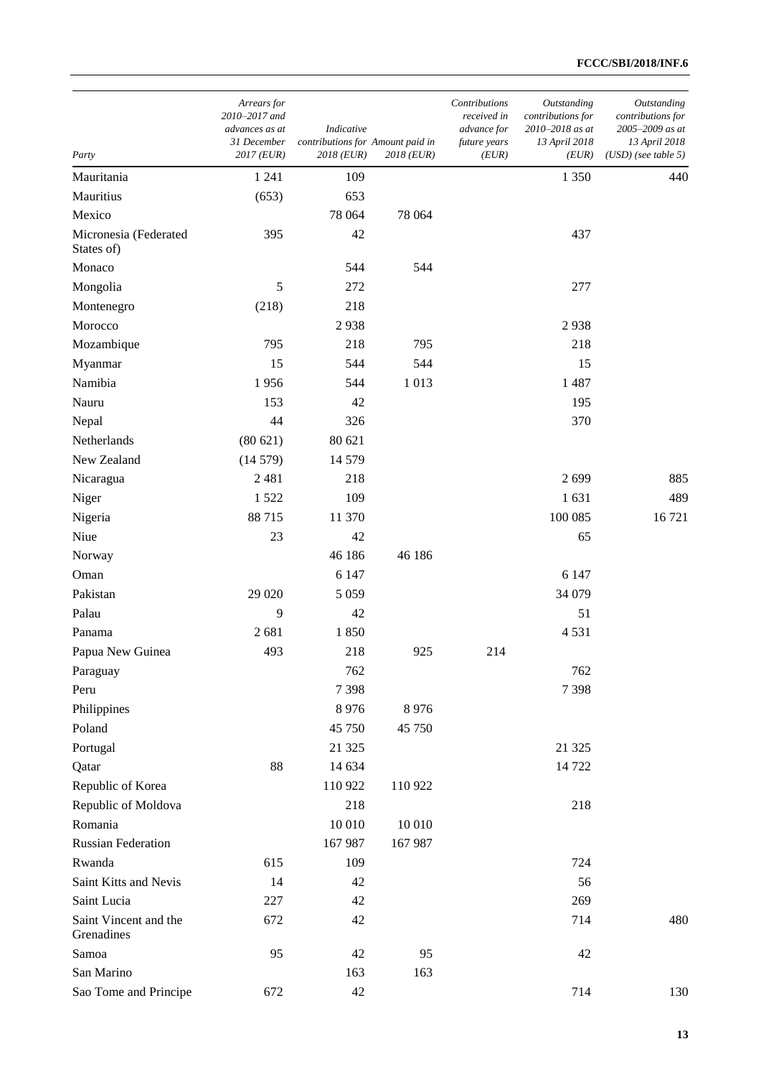| Contributions<br>Arrears for<br>2010-2017 and<br>received in<br>advances as at<br>Indicative<br>advance for<br>contributions for Amount paid in<br>31 December<br>future years<br>2017 (EUR)<br>2018 (EUR)<br>2018 (EUR)<br>(EUR)<br>Party | Outstanding<br>contributions for<br>2010-2018 as at<br>13 April 2018<br>(EUR) | Outstanding<br>contributions for<br>2005-2009 as at<br>13 April 2018<br>$(USD)$ (see table 5) |
|--------------------------------------------------------------------------------------------------------------------------------------------------------------------------------------------------------------------------------------------|-------------------------------------------------------------------------------|-----------------------------------------------------------------------------------------------|
| Mauritania<br>1 2 4 1<br>109                                                                                                                                                                                                               | 1 3 5 0                                                                       | 440                                                                                           |
| Mauritius<br>653<br>(653)                                                                                                                                                                                                                  |                                                                               |                                                                                               |
| Mexico<br>78 064<br>78 064                                                                                                                                                                                                                 |                                                                               |                                                                                               |
| 42<br>Micronesia (Federated<br>395<br>States of)                                                                                                                                                                                           | 437                                                                           |                                                                                               |
| Monaco<br>544<br>544                                                                                                                                                                                                                       |                                                                               |                                                                                               |
| 5<br>Mongolia<br>272                                                                                                                                                                                                                       | 277                                                                           |                                                                                               |
| 218<br>Montenegro<br>(218)                                                                                                                                                                                                                 |                                                                               |                                                                                               |
| 2938<br>Morocco                                                                                                                                                                                                                            | 2938                                                                          |                                                                                               |
| 795<br>218<br>795<br>Mozambique                                                                                                                                                                                                            | 218                                                                           |                                                                                               |
| 15<br>544<br>544<br>Myanmar                                                                                                                                                                                                                | 15                                                                            |                                                                                               |
| Namibia<br>1 0 1 3<br>1956<br>544                                                                                                                                                                                                          | 1487                                                                          |                                                                                               |
| Nauru<br>153<br>42                                                                                                                                                                                                                         | 195                                                                           |                                                                                               |
| 44<br>326<br>Nepal                                                                                                                                                                                                                         | 370                                                                           |                                                                                               |
| Netherlands<br>80 621<br>(80621)                                                                                                                                                                                                           |                                                                               |                                                                                               |
| New Zealand<br>(14579)<br>14 579                                                                                                                                                                                                           |                                                                               |                                                                                               |
| 2 4 8 1<br>218<br>Nicaragua                                                                                                                                                                                                                | 2699                                                                          | 885                                                                                           |
| 109<br>Niger<br>1522                                                                                                                                                                                                                       | 1631                                                                          | 489                                                                                           |
| Nigeria<br>88 715<br>11 370                                                                                                                                                                                                                | 100 085                                                                       | 16721                                                                                         |
| Niue<br>23<br>42                                                                                                                                                                                                                           | 65                                                                            |                                                                                               |
| 46 186<br>46 186<br>Norway                                                                                                                                                                                                                 |                                                                               |                                                                                               |
| Oman<br>6 1 4 7                                                                                                                                                                                                                            | 6 1 4 7                                                                       |                                                                                               |
| Pakistan<br>29 020<br>5 0 5 9                                                                                                                                                                                                              | 34 079                                                                        |                                                                                               |
| Palau<br>9<br>42                                                                                                                                                                                                                           | 51                                                                            |                                                                                               |
| 2681<br>1850<br>Panama                                                                                                                                                                                                                     | 4531                                                                          |                                                                                               |
| 493<br>218<br>925<br>214<br>Papua New Guinea                                                                                                                                                                                               |                                                                               |                                                                                               |
| 762<br>Paraguay                                                                                                                                                                                                                            | 762                                                                           |                                                                                               |
| Peru<br>7398                                                                                                                                                                                                                               | 7398                                                                          |                                                                                               |
| Philippines<br>8976<br>8 9 7 6                                                                                                                                                                                                             |                                                                               |                                                                                               |
| Poland<br>45 750<br>45 750                                                                                                                                                                                                                 |                                                                               |                                                                                               |
| Portugal<br>21 3 25                                                                                                                                                                                                                        | 21 3 25                                                                       |                                                                                               |
| 88<br>Qatar<br>14 634                                                                                                                                                                                                                      | 14 722                                                                        |                                                                                               |
| Republic of Korea<br>110 922<br>110 922                                                                                                                                                                                                    |                                                                               |                                                                                               |
| Republic of Moldova<br>218<br>Romania                                                                                                                                                                                                      | 218                                                                           |                                                                                               |
| 10 010<br>10 010<br><b>Russian Federation</b><br>167 987                                                                                                                                                                                   |                                                                               |                                                                                               |
| 167987<br>Rwanda<br>615<br>109                                                                                                                                                                                                             | 724                                                                           |                                                                                               |
| Saint Kitts and Nevis<br>14<br>42                                                                                                                                                                                                          | 56                                                                            |                                                                                               |
| Saint Lucia<br>42<br>227                                                                                                                                                                                                                   | 269                                                                           |                                                                                               |
| Saint Vincent and the<br>672<br>42<br>Grenadines                                                                                                                                                                                           | 714                                                                           | 480                                                                                           |
| 95<br>95<br>42<br>Samoa                                                                                                                                                                                                                    | 42                                                                            |                                                                                               |
| San Marino<br>163<br>163                                                                                                                                                                                                                   |                                                                               |                                                                                               |
| Sao Tome and Principe<br>42<br>672                                                                                                                                                                                                         | 714                                                                           | 130                                                                                           |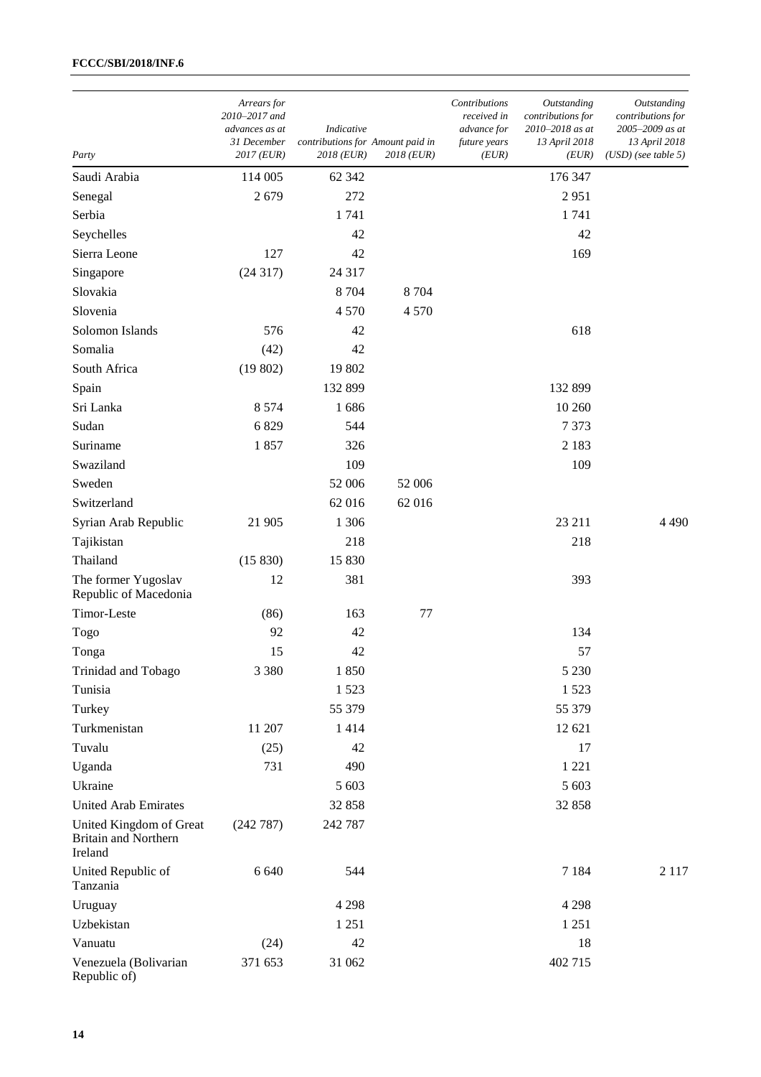| Party                                                             | Arrears for<br>2010-2017 and<br>advances as at<br>31 December<br>2017 (EUR) | Indicative<br>contributions for Amount paid in<br>2018 (EUR) | 2018 (EUR) | Contributions<br>received in<br>advance for<br>future years<br>(EUR) | Outstanding<br>contributions for<br>2010-2018 as at<br>13 April 2018<br>(EUR) | Outstanding<br>contributions for<br>2005-2009 as at<br>13 April 2018<br>$(USD)$ (see table 5) |
|-------------------------------------------------------------------|-----------------------------------------------------------------------------|--------------------------------------------------------------|------------|----------------------------------------------------------------------|-------------------------------------------------------------------------------|-----------------------------------------------------------------------------------------------|
| Saudi Arabia                                                      | 114 005                                                                     | 62 342                                                       |            |                                                                      | 176 347                                                                       |                                                                                               |
| Senegal                                                           | 2679                                                                        | 272                                                          |            |                                                                      | 2951                                                                          |                                                                                               |
| Serbia                                                            |                                                                             | 1741                                                         |            |                                                                      | 1741                                                                          |                                                                                               |
| Seychelles                                                        |                                                                             | 42                                                           |            |                                                                      | 42                                                                            |                                                                                               |
| Sierra Leone                                                      | 127                                                                         | 42                                                           |            |                                                                      | 169                                                                           |                                                                                               |
| Singapore                                                         | (24317)                                                                     | 24 3 17                                                      |            |                                                                      |                                                                               |                                                                                               |
| Slovakia                                                          |                                                                             | 8704                                                         | 8 7 0 4    |                                                                      |                                                                               |                                                                                               |
| Slovenia                                                          |                                                                             | 4570                                                         | 4570       |                                                                      |                                                                               |                                                                                               |
| Solomon Islands                                                   | 576                                                                         | 42                                                           |            |                                                                      | 618                                                                           |                                                                                               |
| Somalia                                                           | (42)                                                                        | 42                                                           |            |                                                                      |                                                                               |                                                                                               |
| South Africa                                                      | (19802)                                                                     | 19 802                                                       |            |                                                                      |                                                                               |                                                                                               |
| Spain                                                             |                                                                             | 132 899                                                      |            |                                                                      | 132 899                                                                       |                                                                                               |
| Sri Lanka                                                         | 8 5 7 4                                                                     | 1686                                                         |            |                                                                      | 10 260                                                                        |                                                                                               |
| Sudan                                                             | 6829                                                                        | 544                                                          |            |                                                                      | 7373                                                                          |                                                                                               |
| Suriname                                                          | 1857                                                                        | 326                                                          |            |                                                                      | 2 1 8 3                                                                       |                                                                                               |
| Swaziland                                                         |                                                                             | 109                                                          |            |                                                                      | 109                                                                           |                                                                                               |
| Sweden                                                            |                                                                             | 52 006                                                       | 52 006     |                                                                      |                                                                               |                                                                                               |
| Switzerland                                                       |                                                                             | 62 016                                                       | 62 016     |                                                                      |                                                                               |                                                                                               |
| Syrian Arab Republic                                              | 21 905                                                                      | 1 3 0 6                                                      |            |                                                                      | 23 211                                                                        | 4490                                                                                          |
| Tajikistan                                                        |                                                                             | 218                                                          |            |                                                                      | 218                                                                           |                                                                                               |
| Thailand                                                          | (15 830)                                                                    | 15 830                                                       |            |                                                                      |                                                                               |                                                                                               |
| The former Yugoslav<br>Republic of Macedonia                      | 12                                                                          | 381                                                          |            |                                                                      | 393                                                                           |                                                                                               |
| Timor-Leste                                                       | (86)                                                                        | 163                                                          | 77         |                                                                      |                                                                               |                                                                                               |
| Togo                                                              | 92                                                                          | 42                                                           |            |                                                                      | 134                                                                           |                                                                                               |
| Tonga                                                             | 15                                                                          | 42                                                           |            |                                                                      | 57                                                                            |                                                                                               |
| Trinidad and Tobago                                               | 3 3 8 0                                                                     | 1850                                                         |            |                                                                      | 5 2 3 0                                                                       |                                                                                               |
| Tunisia                                                           |                                                                             | 1523                                                         |            |                                                                      | 1523                                                                          |                                                                                               |
| Turkey                                                            |                                                                             | 55 379                                                       |            |                                                                      | 55 379                                                                        |                                                                                               |
| Turkmenistan                                                      | 11 207                                                                      | 1414                                                         |            |                                                                      | 12 621                                                                        |                                                                                               |
| Tuvalu                                                            | (25)                                                                        | 42                                                           |            |                                                                      | 17                                                                            |                                                                                               |
| Uganda                                                            | 731                                                                         | 490                                                          |            |                                                                      | 1 2 2 1                                                                       |                                                                                               |
| Ukraine                                                           |                                                                             | 5 603                                                        |            |                                                                      | 5 603                                                                         |                                                                                               |
| <b>United Arab Emirates</b>                                       |                                                                             | 32 858                                                       |            |                                                                      | 32 858                                                                        |                                                                                               |
| United Kingdom of Great<br><b>Britain and Northern</b><br>Ireland | (242 787)                                                                   | 242 787                                                      |            |                                                                      |                                                                               |                                                                                               |
| United Republic of<br>Tanzania                                    | 6 6 4 0                                                                     | 544                                                          |            |                                                                      | 7 1 8 4                                                                       | 2 1 1 7                                                                                       |
| Uruguay                                                           |                                                                             | 4 2 9 8                                                      |            |                                                                      | 4 2 9 8                                                                       |                                                                                               |
| Uzbekistan                                                        |                                                                             | 1 2 5 1                                                      |            |                                                                      | 1 2 5 1                                                                       |                                                                                               |
| Vanuatu                                                           | (24)                                                                        | 42                                                           |            |                                                                      | 18                                                                            |                                                                                               |
| Venezuela (Bolivarian<br>Republic of)                             | 371 653                                                                     | 31 062                                                       |            |                                                                      | 402 715                                                                       |                                                                                               |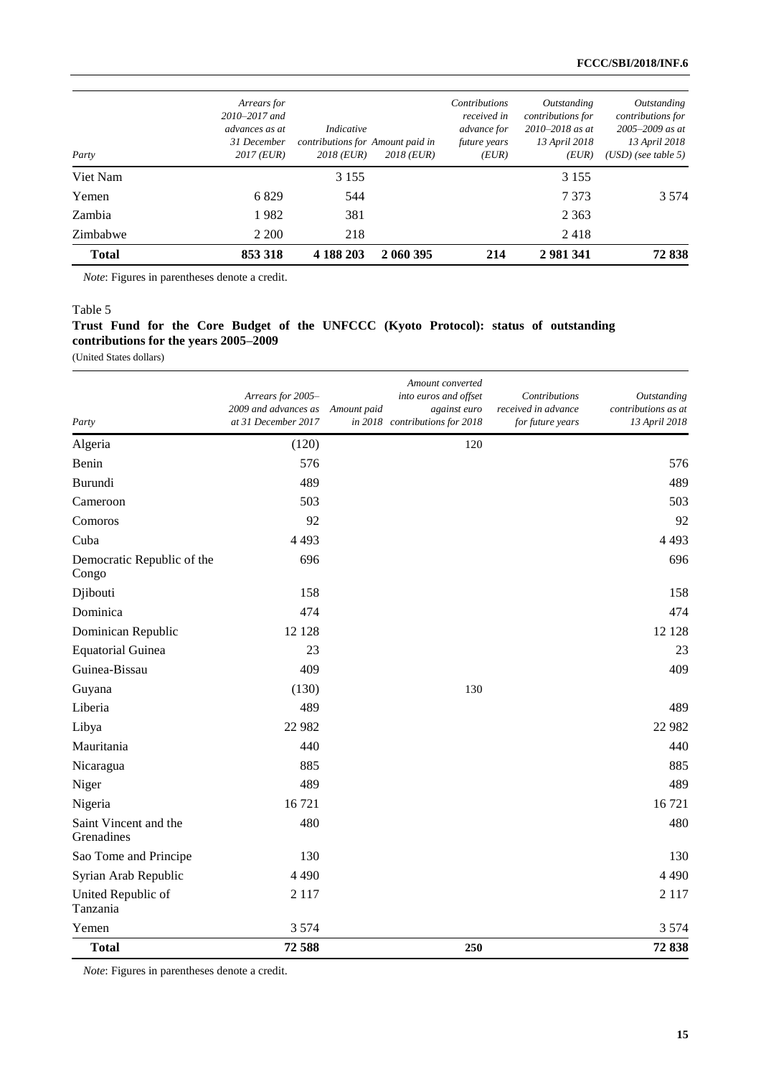| <b>Total</b> | 853 318                                                                           | 4 188 203                                                    | 2 060 395  | 214                                                                         | 2 981 341                                                                         | 72838                                                                                             |
|--------------|-----------------------------------------------------------------------------------|--------------------------------------------------------------|------------|-----------------------------------------------------------------------------|-----------------------------------------------------------------------------------|---------------------------------------------------------------------------------------------------|
| Zimbabwe     | 2 2 0 0                                                                           | 218                                                          |            |                                                                             | 2418                                                                              |                                                                                                   |
| Zambia       | 1982                                                                              | 381                                                          |            |                                                                             | 2 3 6 3                                                                           |                                                                                                   |
| Yemen        | 6829                                                                              | 544                                                          |            |                                                                             | 7 3 7 3                                                                           | 3 5 7 4                                                                                           |
| Viet Nam     |                                                                                   | 3 1 5 5                                                      |            |                                                                             | 3 1 5 5                                                                           |                                                                                                   |
| Party        | Arrears for<br>$2010 - 2017$ and<br>advances as at<br>31 December<br>$2017$ (EUR) | Indicative<br>contributions for Amount paid in<br>2018 (EUR) | 2018 (EUR) | <b>Contributions</b><br>received in<br>advance for<br>future years<br>(EUR) | Outstanding<br>contributions for<br>$2010 - 2018$ as at<br>13 April 2018<br>(EUR) | Outstanding<br>contributions for<br>$2005 - 2009$ as at<br>13 April 2018<br>$(USD)$ (see table 5) |

*Note*: Figures in parentheses denote a credit.

#### Table 5

# **Trust Fund for the Core Budget of the UNFCCC (Kyoto Protocol): status of outstanding contributions for the years 2005–2009**

(United States dollars)

| Party                               | Arrears for 2005-<br>2009 and advances as<br>at 31 December 2017 | Amount paid | Amount converted<br>into euros and offset<br>against euro<br>in 2018 contributions for 2018 | Contributions<br>received in advance<br>for future years | <b>Outstanding</b><br>contributions as at<br>13 April 2018 |
|-------------------------------------|------------------------------------------------------------------|-------------|---------------------------------------------------------------------------------------------|----------------------------------------------------------|------------------------------------------------------------|
| Algeria                             | (120)                                                            |             | 120                                                                                         |                                                          |                                                            |
| Benin                               | 576                                                              |             |                                                                                             |                                                          | 576                                                        |
| Burundi                             | 489                                                              |             |                                                                                             |                                                          | 489                                                        |
| Cameroon                            | 503                                                              |             |                                                                                             |                                                          | 503                                                        |
| Comoros                             | 92                                                               |             |                                                                                             |                                                          | 92                                                         |
| Cuba                                | 4 4 9 3                                                          |             |                                                                                             |                                                          | 4 4 9 3                                                    |
| Democratic Republic of the<br>Congo | 696                                                              |             |                                                                                             |                                                          | 696                                                        |
| Djibouti                            | 158                                                              |             |                                                                                             |                                                          | 158                                                        |
| Dominica                            | 474                                                              |             |                                                                                             |                                                          | 474                                                        |
| Dominican Republic                  | 12 128                                                           |             |                                                                                             |                                                          | 12 128                                                     |
| <b>Equatorial Guinea</b>            | 23                                                               |             |                                                                                             |                                                          | 23                                                         |
| Guinea-Bissau                       | 409                                                              |             |                                                                                             |                                                          | 409                                                        |
| Guyana                              | (130)                                                            |             | 130                                                                                         |                                                          |                                                            |
| Liberia                             | 489                                                              |             |                                                                                             |                                                          | 489                                                        |
| Libya                               | 22 982                                                           |             |                                                                                             |                                                          | 22 982                                                     |
| Mauritania                          | 440                                                              |             |                                                                                             |                                                          | 440                                                        |
| Nicaragua                           | 885                                                              |             |                                                                                             |                                                          | 885                                                        |
| Niger                               | 489                                                              |             |                                                                                             |                                                          | 489                                                        |
| Nigeria                             | 16721                                                            |             |                                                                                             |                                                          | 16 721                                                     |
| Saint Vincent and the<br>Grenadines | 480                                                              |             |                                                                                             |                                                          | 480                                                        |
| Sao Tome and Principe               | 130                                                              |             |                                                                                             |                                                          | 130                                                        |
| Syrian Arab Republic                | 4 4 9 0                                                          |             |                                                                                             |                                                          | 4 4 9 0                                                    |
| United Republic of<br>Tanzania      | 2 1 1 7                                                          |             |                                                                                             |                                                          | 2 1 1 7                                                    |
| Yemen                               | 3 5 7 4                                                          |             |                                                                                             |                                                          | 3 5 7 4                                                    |
| <b>Total</b>                        | 72588                                                            |             | 250                                                                                         |                                                          | 72838                                                      |

*Note*: Figures in parentheses denote a credit.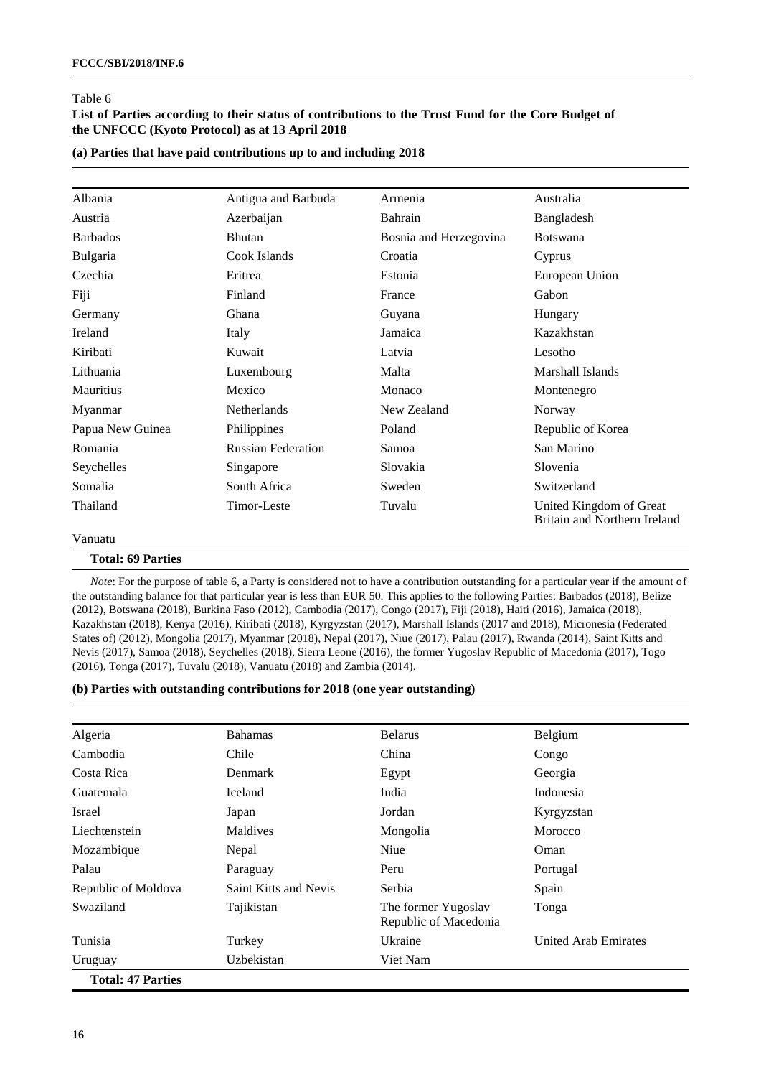### **List of Parties according to their status of contributions to the Trust Fund for the Core Budget of the UNFCCC (Kyoto Protocol) as at 13 April 2018**

| Albania                  | Antigua and Barbuda       | Armenia                | Australia                                               |
|--------------------------|---------------------------|------------------------|---------------------------------------------------------|
| Austria                  | Azerbaijan                | Bahrain                | Bangladesh                                              |
| <b>Barbados</b>          | <b>Bhutan</b>             | Bosnia and Herzegovina | <b>Botswana</b>                                         |
| Bulgaria                 | Cook Islands              | Croatia                | Cyprus                                                  |
| Czechia                  | Eritrea                   | Estonia                | European Union                                          |
| Fiji                     | Finland                   | France                 | Gabon                                                   |
| Germany                  | Ghana                     | Guyana                 | Hungary                                                 |
| Ireland                  | Italy                     | Jamaica                | Kazakhstan                                              |
| Kiribati                 | Kuwait                    | Latvia                 | Lesotho                                                 |
| Lithuania                | Luxembourg                | Malta                  | Marshall Islands                                        |
| <b>Mauritius</b>         | Mexico                    | Monaco                 | Montenegro                                              |
| Myanmar                  | <b>Netherlands</b>        | New Zealand            | Norway                                                  |
| Papua New Guinea         | Philippines               | Poland                 | Republic of Korea                                       |
| Romania                  | <b>Russian Federation</b> | Samoa                  | San Marino                                              |
| Seychelles               | Singapore                 | Slovakia               | Slovenia                                                |
| Somalia                  | South Africa              | Sweden                 | Switzerland                                             |
| Thailand                 | Timor-Leste               | Tuvalu                 | United Kingdom of Great<br>Britain and Northern Ireland |
| Vanuatu                  |                           |                        |                                                         |
| <b>Total: 69 Parties</b> |                           |                        |                                                         |

**(a) Parties that have paid contributions up to and including 2018**

*Note*: For the purpose of table 6, a Party is considered not to have a contribution outstanding for a particular year if the amount of the outstanding balance for that particular year is less than EUR 50. This applies to the following Parties: Barbados (2018), Belize (2012), Botswana (2018), Burkina Faso (2012), Cambodia (2017), Congo (2017), Fiji (2018), Haiti (2016), Jamaica (2018), Kazakhstan (2018), Kenya (2016), Kiribati (2018), Kyrgyzstan (2017), Marshall Islands (2017 and 2018), Micronesia (Federated States of) (2012), Mongolia (2017), Myanmar (2018), Nepal (2017), Niue (2017), Palau (2017), Rwanda (2014), Saint Kitts and Nevis (2017), Samoa (2018), Seychelles (2018), Sierra Leone (2016), the former Yugoslav Republic of Macedonia (2017), Togo (2016), Tonga (2017), Tuvalu (2018), Vanuatu (2018) and Zambia (2014).

#### **(b) Parties with outstanding contributions for 2018 (one year outstanding)**

| Algeria                  | <b>Bahamas</b>               | <b>Belarus</b>                               | Belgium              |
|--------------------------|------------------------------|----------------------------------------------|----------------------|
| Cambodia                 | Chile                        | China                                        | Congo                |
| Costa Rica               | Denmark                      | Egypt                                        | Georgia              |
| Guatemala                | Iceland                      | India                                        | Indonesia            |
| Israel                   | Japan                        | Jordan                                       | Kyrgyzstan           |
| Liechtenstein            | Maldives                     | Mongolia                                     | Morocco              |
| Mozambique               | Nepal                        | Niue                                         | Oman                 |
| Palau                    | Paraguay                     | Peru                                         | Portugal             |
| Republic of Moldova      | <b>Saint Kitts and Nevis</b> | Serbia                                       | Spain                |
| Swaziland                | Tajikistan                   | The former Yugoslav<br>Republic of Macedonia | Tonga                |
| Tunisia                  | Turkey                       | Ukraine                                      | United Arab Emirates |
| Uruguay                  | Uzbekistan                   | Viet Nam                                     |                      |
| <b>Total: 47 Parties</b> |                              |                                              |                      |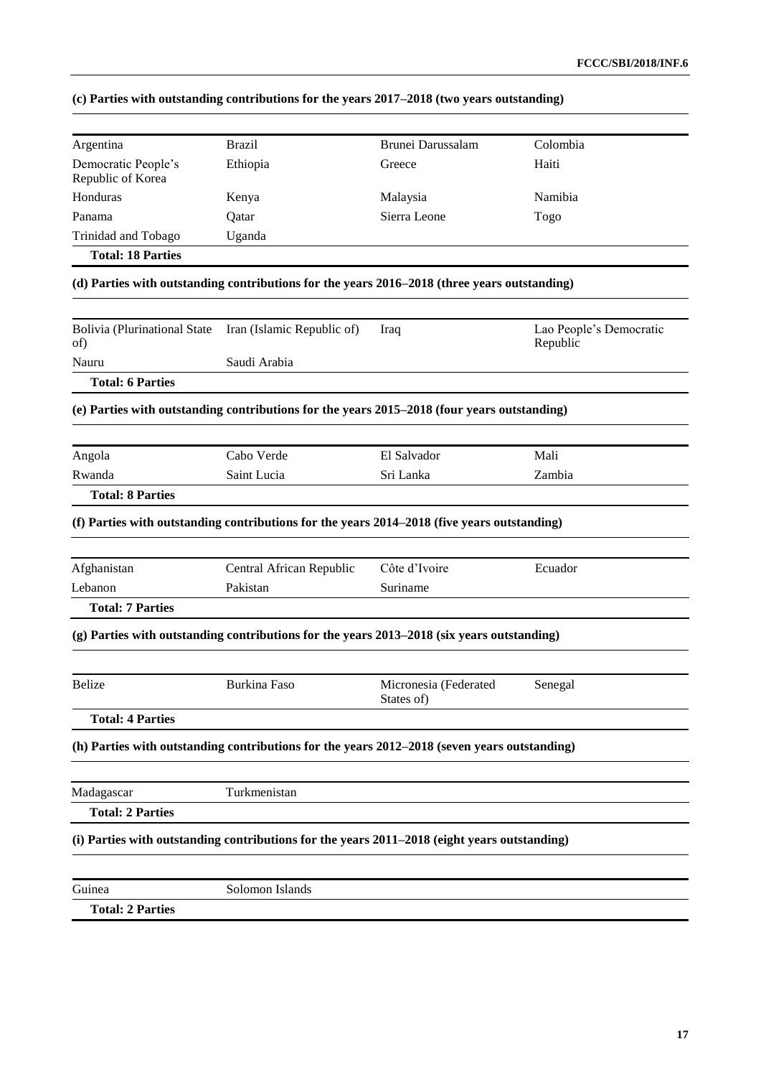|  | (c) Parties with outstanding contributions for the years 2017–2018 (two years outstanding) |  |  |
|--|--------------------------------------------------------------------------------------------|--|--|
|  |                                                                                            |  |  |

| Argentina                                  | <b>Brazil</b>                                                                                | Brunei Darussalam     | Colombia                            |
|--------------------------------------------|----------------------------------------------------------------------------------------------|-----------------------|-------------------------------------|
| Democratic People's<br>Republic of Korea   | Ethiopia                                                                                     | Greece                | Haiti                               |
| Honduras                                   | Kenya                                                                                        | Malaysia              | Namibia                             |
| Panama                                     | Qatar                                                                                        | Sierra Leone          | Togo                                |
| Trinidad and Tobago                        | Uganda                                                                                       |                       |                                     |
| <b>Total: 18 Parties</b>                   |                                                                                              |                       |                                     |
|                                            | (d) Parties with outstanding contributions for the years 2016–2018 (three years outstanding) |                       |                                     |
| <b>Bolivia (Plurinational State</b><br>of) | Iran (Islamic Republic of)                                                                   | Iraq                  | Lao People's Democratic<br>Republic |
| Nauru                                      | Saudi Arabia                                                                                 |                       |                                     |
| <b>Total: 6 Parties</b>                    |                                                                                              |                       |                                     |
|                                            | (e) Parties with outstanding contributions for the years 2015-2018 (four years outstanding)  |                       |                                     |
| Angola                                     | Cabo Verde                                                                                   | El Salvador           | Mali                                |
| Rwanda                                     | Saint Lucia                                                                                  | Sri Lanka             | Zambia                              |
| <b>Total: 8 Parties</b>                    |                                                                                              |                       |                                     |
|                                            | (f) Parties with outstanding contributions for the years 2014–2018 (five years outstanding)  |                       |                                     |
| Afghanistan                                | Central African Republic                                                                     | Côte d'Ivoire         | Ecuador                             |
| Lebanon                                    | Pakistan                                                                                     | Suriname              |                                     |
| <b>Total: 7 Parties</b>                    |                                                                                              |                       |                                     |
|                                            | (g) Parties with outstanding contributions for the years 2013–2018 (six years outstanding)   |                       |                                     |
| <b>Belize</b>                              | <b>Burkina Faso</b>                                                                          | Micronesia (Federated | Senegal                             |
|                                            |                                                                                              | States of)            |                                     |
| <b>Total: 4 Parties</b>                    |                                                                                              |                       |                                     |
|                                            | (h) Parties with outstanding contributions for the years 2012–2018 (seven years outstanding) |                       |                                     |
| Madagascar                                 | Turkmenistan                                                                                 |                       |                                     |
| <b>Total: 2 Parties</b>                    |                                                                                              |                       |                                     |
|                                            | (i) Parties with outstanding contributions for the years 2011–2018 (eight years outstanding) |                       |                                     |
|                                            |                                                                                              |                       |                                     |
| Guinea                                     | Solomon Islands                                                                              |                       |                                     |
| <b>Total: 2 Parties</b>                    |                                                                                              |                       |                                     |
|                                            |                                                                                              |                       |                                     |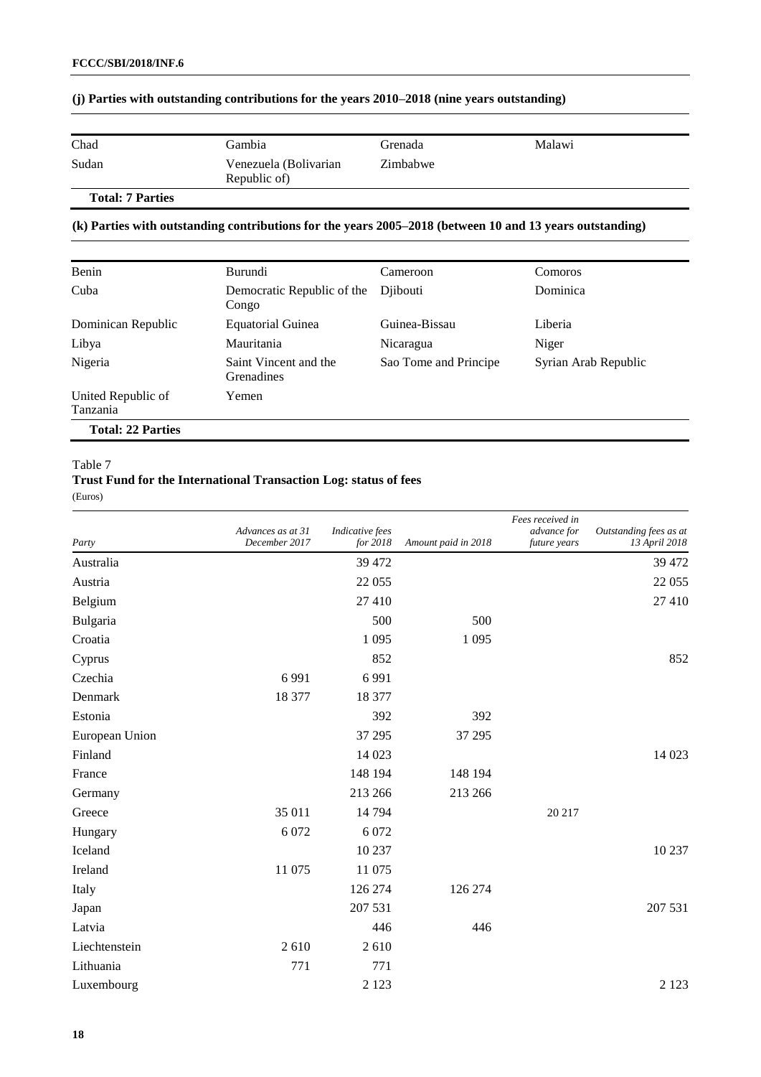| Chad  | Gambia                                | Grenada  | Malawi |
|-------|---------------------------------------|----------|--------|
| Sudan | Venezuela (Bolivarian<br>Republic of) | Zimbabwe |        |
|       |                                       |          |        |

### **(j) Parties with outstanding contributions for the years 2010–2018 (nine years outstanding)**

# **Total: 7 Parties**

### **(k) Parties with outstanding contributions for the years 2005–2018 (between 10 and 13 years outstanding)**

| Benin                          | Burundi                             | Cameroon              | <b>Comoros</b>       |
|--------------------------------|-------------------------------------|-----------------------|----------------------|
| Cuba                           | Democratic Republic of the<br>Congo | Diibouti              | Dominica             |
| Dominican Republic             | <b>Equatorial Guinea</b>            | Guinea-Bissau         | Liberia              |
| Libya                          | Mauritania                          | Nicaragua             | Niger                |
| Nigeria                        | Saint Vincent and the<br>Grenadines | Sao Tome and Principe | Syrian Arab Republic |
| United Republic of<br>Tanzania | Yemen                               |                       |                      |
| <b>Total: 22 Parties</b>       |                                     |                       |                      |

#### Table 7

# **Trust Fund for the International Transaction Log: status of fees**

(Euros)

| Party          | Advances as at 31<br>December 2017 | <b>Indicative</b> fees<br>for 2018 | Amount paid in 2018 | Fees received in<br>advance for<br>future years | Outstanding fees as at<br>13 April 2018 |
|----------------|------------------------------------|------------------------------------|---------------------|-------------------------------------------------|-----------------------------------------|
| Australia      |                                    | 39 472                             |                     |                                                 | 39 472                                  |
| Austria        |                                    | 22 055                             |                     |                                                 | 22 055                                  |
| Belgium        |                                    | 27 410                             |                     |                                                 | 27 410                                  |
| Bulgaria       |                                    | 500                                | 500                 |                                                 |                                         |
| Croatia        |                                    | 1 0 9 5                            | 1 0 9 5             |                                                 |                                         |
| Cyprus         |                                    | 852                                |                     |                                                 | 852                                     |
| Czechia        | 6 9 9 1                            | 6991                               |                     |                                                 |                                         |
| Denmark        | 18 377                             | 18 377                             |                     |                                                 |                                         |
| Estonia        |                                    | 392                                | 392                 |                                                 |                                         |
| European Union |                                    | 37 29 5                            | 37 29 5             |                                                 |                                         |
| Finland        |                                    | 14 023                             |                     |                                                 | 14 023                                  |
| France         |                                    | 148 194                            | 148 194             |                                                 |                                         |
| Germany        |                                    | 213 266                            | 213 266             |                                                 |                                         |
| Greece         | 35 011                             | 14 794                             |                     | 20 217                                          |                                         |
| Hungary        | 6 0 7 2                            | 6 0 7 2                            |                     |                                                 |                                         |
| Iceland        |                                    | 10 237                             |                     |                                                 | 10 237                                  |
| Ireland        | 11 075                             | 11 075                             |                     |                                                 |                                         |
| Italy          |                                    | 126 274                            | 126 274             |                                                 |                                         |
| Japan          |                                    | 207 531                            |                     |                                                 | 207 531                                 |
| Latvia         |                                    | 446                                | 446                 |                                                 |                                         |
| Liechtenstein  | 2610                               | 2610                               |                     |                                                 |                                         |
| Lithuania      | 771                                | 771                                |                     |                                                 |                                         |
| Luxembourg     |                                    | 2 1 2 3                            |                     |                                                 | 2 1 2 3                                 |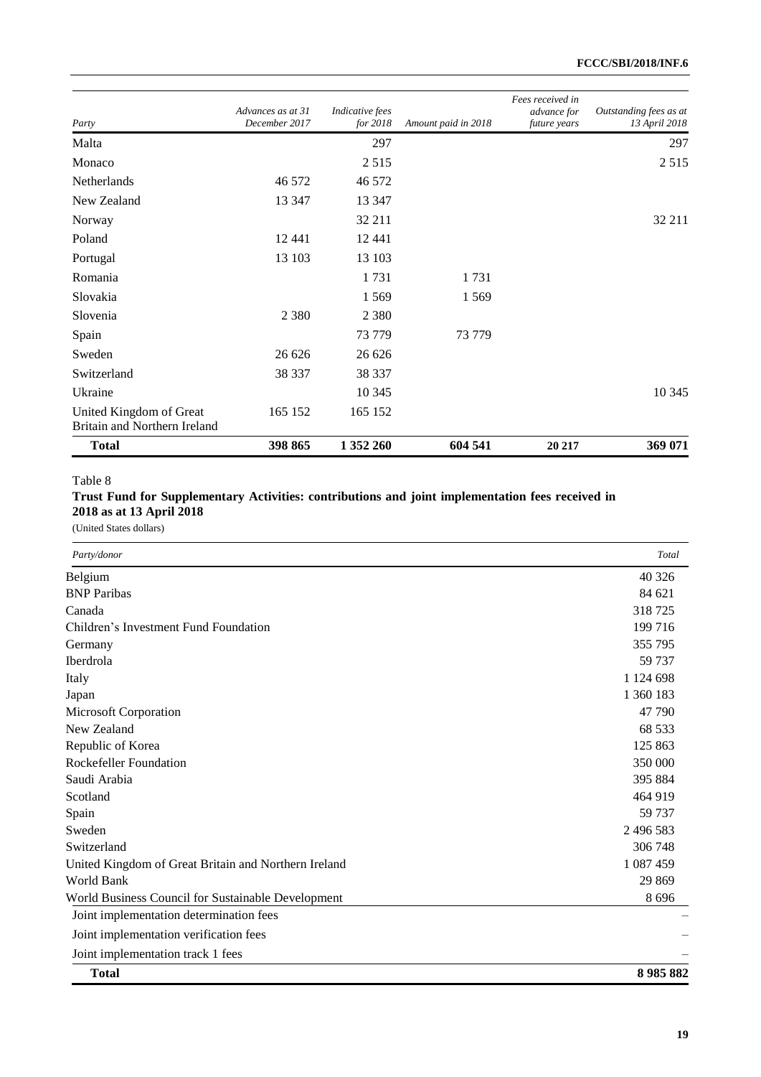| Party                                                   | Advances as at 31<br>December 2017 | Indicative fees<br>for 2018 | Amount paid in 2018 | Fees received in<br>advance for<br>future years | Outstanding fees as at<br>13 April 2018 |
|---------------------------------------------------------|------------------------------------|-----------------------------|---------------------|-------------------------------------------------|-----------------------------------------|
| Malta                                                   |                                    | 297                         |                     |                                                 | 297                                     |
| Monaco                                                  |                                    | 2 5 1 5                     |                     |                                                 | 2 5 1 5                                 |
| Netherlands                                             | 46 572                             | 46 572                      |                     |                                                 |                                         |
| New Zealand                                             | 13 347                             | 13 3 47                     |                     |                                                 |                                         |
| Norway                                                  |                                    | 32 211                      |                     |                                                 | 32 211                                  |
| Poland                                                  | 12 4 4 1                           | 12 4 4 1                    |                     |                                                 |                                         |
| Portugal                                                | 13 103                             | 13 103                      |                     |                                                 |                                         |
| Romania                                                 |                                    | 1731                        | 1731                |                                                 |                                         |
| Slovakia                                                |                                    | 1569                        | 1 5 6 9             |                                                 |                                         |
| Slovenia                                                | 2 3 8 0                            | 2 3 8 0                     |                     |                                                 |                                         |
| Spain                                                   |                                    | 73 779                      | 73 779              |                                                 |                                         |
| Sweden                                                  | 26 626                             | 26 626                      |                     |                                                 |                                         |
| Switzerland                                             | 38 337                             | 38 337                      |                     |                                                 |                                         |
| Ukraine                                                 |                                    | 10 3 45                     |                     |                                                 | 10 3 45                                 |
| United Kingdom of Great<br>Britain and Northern Ireland | 165 152                            | 165 152                     |                     |                                                 |                                         |
| <b>Total</b>                                            | 398 865                            | 1 352 260                   | 604 541             | 20 217                                          | 369 071                                 |

# **Trust Fund for Supplementary Activities: contributions and joint implementation fees received in 2018 as at 13 April 2018**

(United States dollars)

| Party/donor                                          | Total     |
|------------------------------------------------------|-----------|
| Belgium                                              | 40 3 26   |
| <b>BNP</b> Paribas                                   | 84 621    |
| Canada                                               | 318725    |
| Children's Investment Fund Foundation                | 199 716   |
| Germany                                              | 355 795   |
| Iberdrola                                            | 59 737    |
| Italy                                                | 1 124 698 |
| Japan                                                | 1 360 183 |
| Microsoft Corporation                                | 47 790    |
| New Zealand                                          | 68 5 33   |
| Republic of Korea                                    | 125 863   |
| <b>Rockefeller Foundation</b>                        | 350 000   |
| Saudi Arabia                                         | 395 884   |
| Scotland                                             | 464 919   |
| Spain                                                | 59 737    |
| Sweden                                               | 2 496 583 |
| Switzerland                                          | 306 748   |
| United Kingdom of Great Britain and Northern Ireland | 1 087 459 |
| World Bank                                           | 29 869    |
| World Business Council for Sustainable Development   | 8696      |
| Joint implementation determination fees              |           |
| Joint implementation verification fees               |           |
| Joint implementation track 1 fees                    |           |
| <b>Total</b>                                         | 8985882   |